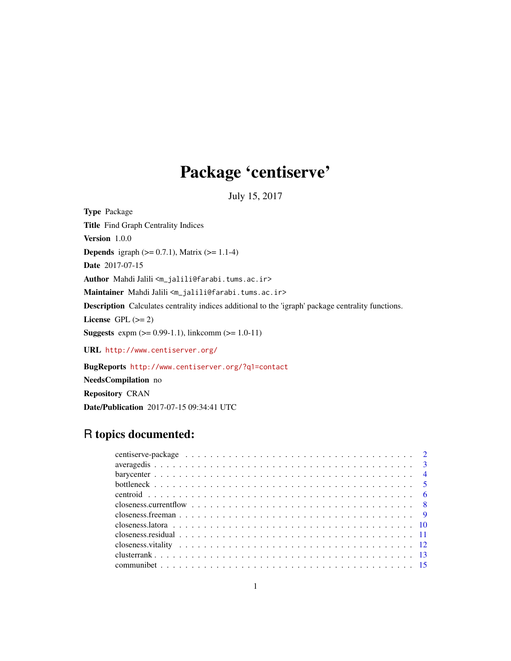## Package 'centiserve'

July 15, 2017

Type Package Title Find Graph Centrality Indices Version 1.0.0 **Depends** igraph  $(>= 0.7.1)$ , Matrix  $(>= 1.1-4)$ Date 2017-07-15 Author Mahdi Jalili <m\_jalili@farabi.tums.ac.ir> Maintainer Mahdi Jalili <m\_jalili@farabi.tums.ac.ir> Description Calculates centrality indices additional to the 'igraph' package centrality functions. License GPL  $(>= 2)$ **Suggests** expm  $(>= 0.99-1.1)$ , linkcomm  $(>= 1.0-11)$ URL <http://www.centiserver.org/>

BugReports <http://www.centiserver.org/?q1=contact>

NeedsCompilation no

Repository CRAN

Date/Publication 2017-07-15 09:34:41 UTC

## R topics documented:

| closeness.residual $\ldots \ldots \ldots \ldots \ldots \ldots \ldots \ldots \ldots \ldots \ldots \ldots \ldots$ |  |
|-----------------------------------------------------------------------------------------------------------------|--|
|                                                                                                                 |  |
|                                                                                                                 |  |
|                                                                                                                 |  |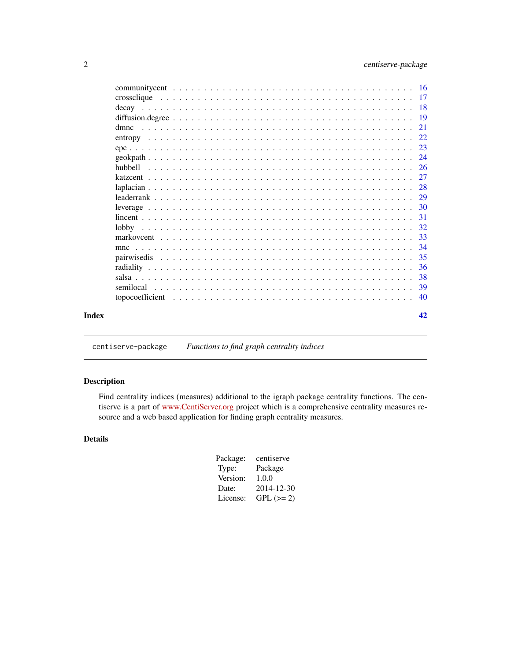<span id="page-1-0"></span>

| mnc |  |  |  |    |
|-----|--|--|--|----|
|     |  |  |  |    |
|     |  |  |  |    |
|     |  |  |  | 38 |
|     |  |  |  |    |
|     |  |  |  |    |
|     |  |  |  | 42 |

centiserve-package *Functions to find graph centrality indices*

## Description

Find centrality indices (measures) additional to the igraph package centrality functions. The centiserve is a part of [www.CentiServer.org](http://www.centiserver.org/) project which is a comprehensive centrality measures resource and a web based application for finding graph centrality measures.

## Details

| centiserve |
|------------|
| Package    |
| 1.0.0      |
| 2014-12-30 |
| $GPL (=2)$ |
|            |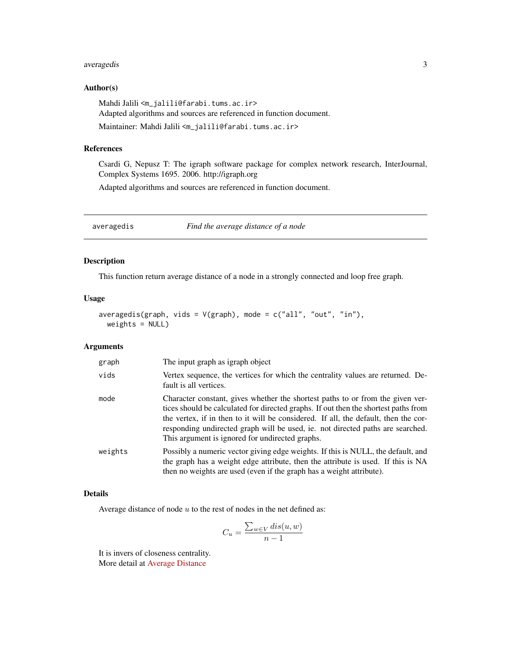## <span id="page-2-0"></span>averagedis 3

## Author(s)

Mahdi Jalili <m\_jalili@farabi.tums.ac.ir> Adapted algorithms and sources are referenced in function document. Maintainer: Mahdi Jalili <m\_jalili@farabi.tums.ac.ir>

## References

Csardi G, Nepusz T: The igraph software package for complex network research, InterJournal, Complex Systems 1695. 2006. http://igraph.org

Adapted algorithms and sources are referenced in function document.

averagedis *Find the average distance of a node*

## Description

This function return average distance of a node in a strongly connected and loop free graph.

## Usage

```
averagedis(graph, vids = V(\text{graph}), mode = c("all", "out", "in"),weights = NULL)
```
## Arguments

| graph   | The input graph as igraph object                                                                                                                                                                                                                                                                                                                                                                  |
|---------|---------------------------------------------------------------------------------------------------------------------------------------------------------------------------------------------------------------------------------------------------------------------------------------------------------------------------------------------------------------------------------------------------|
| vids    | Vertex sequence, the vertices for which the centrality values are returned. De-<br>fault is all vertices.                                                                                                                                                                                                                                                                                         |
| mode    | Character constant, gives whether the shortest paths to or from the given ver-<br>tices should be calculated for directed graphs. If out then the shortest paths from<br>the vertex, if in then to it will be considered. If all, the default, then the cor-<br>responding undirected graph will be used, ie. not directed paths are searched.<br>This argument is ignored for undirected graphs. |
| weights | Possibly a numeric vector giving edge weights. If this is NULL, the default, and<br>the graph has a weight edge attribute, then the attribute is used. If this is NA<br>then no weights are used (even if the graph has a weight attribute).                                                                                                                                                      |

#### Details

Average distance of node  $u$  to the rest of nodes in the net defined as:

$$
C_u = \frac{\sum_{w \in V} dis(u, w)}{n - 1}
$$

It is invers of closeness centrality. More detail at [Average Distance](http://www.centiserver.org/?q1=centrality&q2=Average_Distance)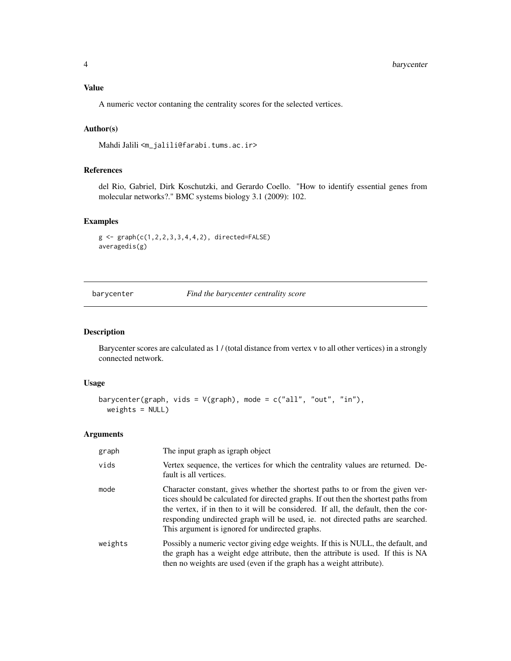## <span id="page-3-0"></span>Value

A numeric vector contaning the centrality scores for the selected vertices.

## Author(s)

Mahdi Jalili <m\_jalili@farabi.tums.ac.ir>

## References

del Rio, Gabriel, Dirk Koschutzki, and Gerardo Coello. "How to identify essential genes from molecular networks?." BMC systems biology 3.1 (2009): 102.

## Examples

```
g <- graph(c(1,2,2,3,3,4,4,2), directed=FALSE)
averagedis(g)
```
barycenter *Find the barycenter centrality score*

#### Description

Barycenter scores are calculated as 1 / (total distance from vertex v to all other vertices) in a strongly connected network.

#### Usage

```
barycenter(graph, vids = V(\text{graph}), mode = c("all", "out", "in"),weights = NULL)
```
#### Arguments

| graph   | The input graph as igraph object                                                                                                                                                                                                                                                                                                                                                                  |
|---------|---------------------------------------------------------------------------------------------------------------------------------------------------------------------------------------------------------------------------------------------------------------------------------------------------------------------------------------------------------------------------------------------------|
| vids    | Vertex sequence, the vertices for which the centrality values are returned. De-<br>fault is all vertices.                                                                                                                                                                                                                                                                                         |
| mode    | Character constant, gives whether the shortest paths to or from the given ver-<br>tices should be calculated for directed graphs. If out then the shortest paths from<br>the vertex, if in then to it will be considered. If all, the default, then the cor-<br>responding undirected graph will be used, ie. not directed paths are searched.<br>This argument is ignored for undirected graphs. |
| weights | Possibly a numeric vector giving edge weights. If this is NULL, the default, and<br>the graph has a weight edge attribute, then the attribute is used. If this is NA<br>then no weights are used (even if the graph has a weight attribute).                                                                                                                                                      |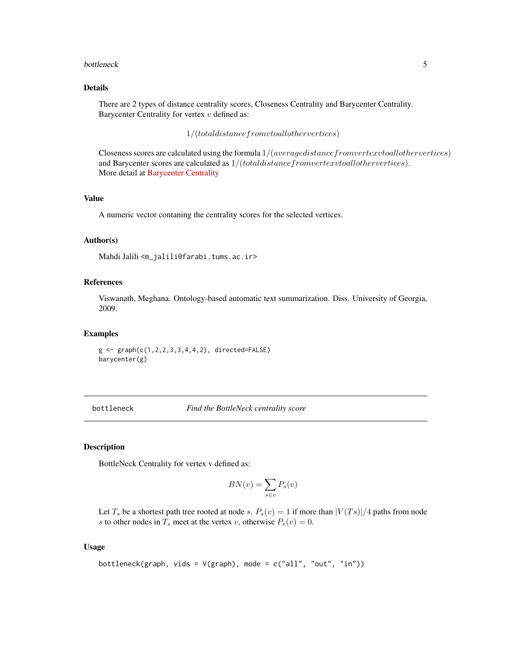#### <span id="page-4-0"></span>bottleneck 5

## Details

There are 2 types of distance centrality scores, Closeness Centrality and Barycenter Centrality. Barycenter Centrality for vertex  $v$  defined as:

 $1/(total distance from v to all otherwise)$ 

Closeness scores are calculated using the formula 1/(averagedistancefromvertexvtoallothervertices) and Barycenter scores are calculated as  $1/(total distance from vertex v to all otherwise)$ . More detail at [Barycenter Centrality](http://www.centiserver.org/?q1=centrality&q2=Barycenter_Centrality)

#### Value

A numeric vector contaning the centrality scores for the selected vertices.

#### Author(s)

Mahdi Jalili <m\_jalili@farabi.tums.ac.ir>

#### References

Viswanath, Meghana. Ontology-based automatic text summarization. Diss. University of Georgia, 2009.

#### Examples

 $g \leq -$  graph( $c(1, 2, 2, 3, 3, 4, 4, 2)$ , directed=FALSE) barycenter(g)

bottleneck *Find the BottleNeck centrality score*

#### Description

BottleNeck Centrality for vertex v defined as:

$$
BN(v) = \sum_{s \in v} P_s(v)
$$

Let  $T_s$  be a shortest path tree rooted at node s.  $P_s(v) = 1$  if more than  $|V(Ts)|/4$  paths from node s to other nodes in  $T_s$  meet at the vertex v, otherwise  $P_s(v) = 0$ .

## Usage

```
bottleneck(graph, vids = V(\text{graph}), mode = c("all", "out", "in"))
```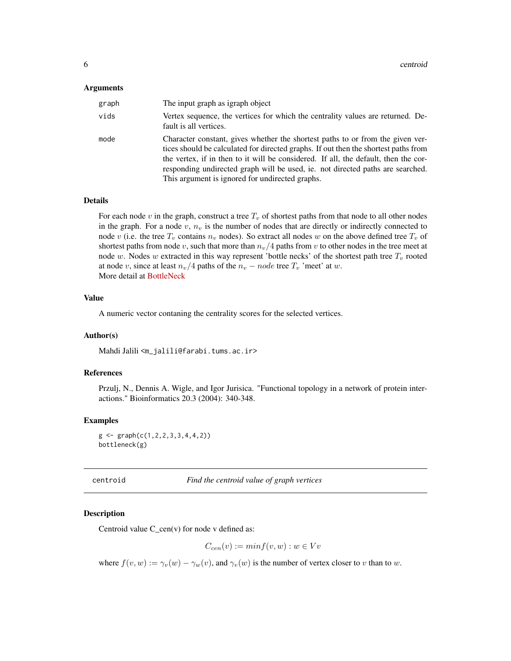#### <span id="page-5-0"></span>Arguments

| graph | The input graph as igraph object                                                                                                                                                                                                                                                                                                                                                                  |
|-------|---------------------------------------------------------------------------------------------------------------------------------------------------------------------------------------------------------------------------------------------------------------------------------------------------------------------------------------------------------------------------------------------------|
| vids  | Vertex sequence, the vertices for which the centrality values are returned. De-<br>fault is all vertices.                                                                                                                                                                                                                                                                                         |
| mode  | Character constant, gives whether the shortest paths to or from the given ver-<br>tices should be calculated for directed graphs. If out then the shortest paths from<br>the vertex, if in then to it will be considered. If all, the default, then the cor-<br>responding undirected graph will be used, ie. not directed paths are searched.<br>This argument is ignored for undirected graphs. |

#### Details

For each node  $v$  in the graph, construct a tree  $T_v$  of shortest paths from that node to all other nodes in the graph. For a node  $v, n_v$  is the number of nodes that are directly or indirectly connected to node v (i.e. the tree  $T_v$  contains  $n_v$  nodes). So extract all nodes w on the above defined tree  $T_v$  of shortest paths from node v, such that more than  $n_v/4$  paths from v to other nodes in the tree meet at node w. Nodes w extracted in this way represent 'bottle necks' of the shortest path tree  $T_v$  rooted at node v, since at least  $n_v/4$  paths of the  $n_v - node$  tree  $T_v$  'meet' at w. More detail at [BottleNeck](http://www.centiserver.org/?q1=centrality&q2=BottleNeck)

## Value

A numeric vector contaning the centrality scores for the selected vertices.

#### Author(s)

Mahdi Jalili <m\_jalili@farabi.tums.ac.ir>

## References

Przulj, N., Dennis A. Wigle, and Igor Jurisica. "Functional topology in a network of protein interactions." Bioinformatics 20.3 (2004): 340-348.

#### Examples

```
g \leftarrow \text{graph}(c(1, 2, 2, 3, 3, 4, 4, 2))bottleneck(g)
```
centroid *Find the centroid value of graph vertices*

## Description

Centroid value  $C_{\text{c}}$ cen(v) for node v defined as:

$$
C_{cen}(v) := minf(v, w) : w \in Vv
$$

where  $f(v, w) := \gamma_v(w) - \gamma_w(v)$ , and  $\gamma_v(w)$  is the number of vertex closer to v than to w.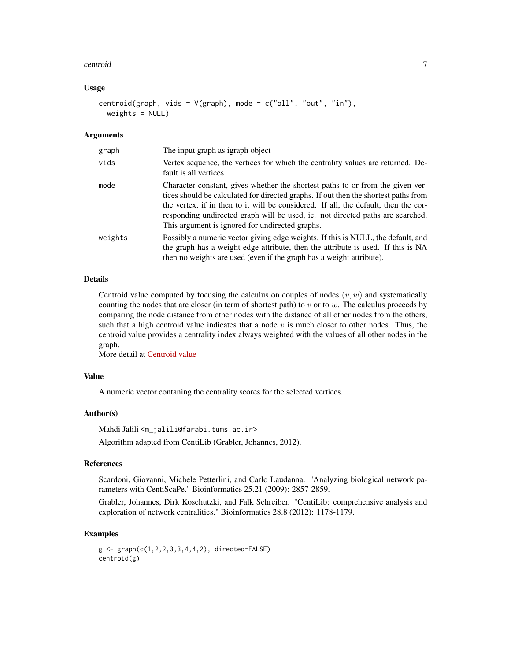#### centroid 7

#### Usage

```
centroid(graph, vids = V(\text{graph}), mode = c("all", "out", "in"),weights = NULL)
```
#### Arguments

| graph   | The input graph as igraph object                                                                                                                                                                                                                                                                                                                                                                  |
|---------|---------------------------------------------------------------------------------------------------------------------------------------------------------------------------------------------------------------------------------------------------------------------------------------------------------------------------------------------------------------------------------------------------|
| vids    | Vertex sequence, the vertices for which the centrality values are returned. De-<br>fault is all vertices.                                                                                                                                                                                                                                                                                         |
| mode    | Character constant, gives whether the shortest paths to or from the given ver-<br>tices should be calculated for directed graphs. If out then the shortest paths from<br>the vertex, if in then to it will be considered. If all, the default, then the cor-<br>responding undirected graph will be used, ie. not directed paths are searched.<br>This argument is ignored for undirected graphs. |
| weights | Possibly a numeric vector giving edge weights. If this is NULL, the default, and<br>the graph has a weight edge attribute, then the attribute is used. If this is NA<br>then no weights are used (even if the graph has a weight attribute).                                                                                                                                                      |

#### Details

Centroid value computed by focusing the calculus on couples of nodes  $(v, w)$  and systematically counting the nodes that are closer (in term of shortest path) to  $v$  or to  $w$ . The calculus proceeds by comparing the node distance from other nodes with the distance of all other nodes from the others, such that a high centroid value indicates that a node  $v$  is much closer to other nodes. Thus, the centroid value provides a centrality index always weighted with the values of all other nodes in the graph.

More detail at [Centroid value](http://www.centiserver.org/?q1=centrality&q2=Centroid_value)

## Value

A numeric vector contaning the centrality scores for the selected vertices.

#### Author(s)

Mahdi Jalili <m\_jalili@farabi.tums.ac.ir>

Algorithm adapted from CentiLib (Grabler, Johannes, 2012).

## References

Scardoni, Giovanni, Michele Petterlini, and Carlo Laudanna. "Analyzing biological network parameters with CentiScaPe." Bioinformatics 25.21 (2009): 2857-2859.

Grabler, Johannes, Dirk Koschutzki, and Falk Schreiber. "CentiLib: comprehensive analysis and exploration of network centralities." Bioinformatics 28.8 (2012): 1178-1179.

## Examples

```
g \leftarrow \text{graph}(c(1, 2, 2, 3, 3, 4, 4, 2), \text{ directed-FALEC})centroid(g)
```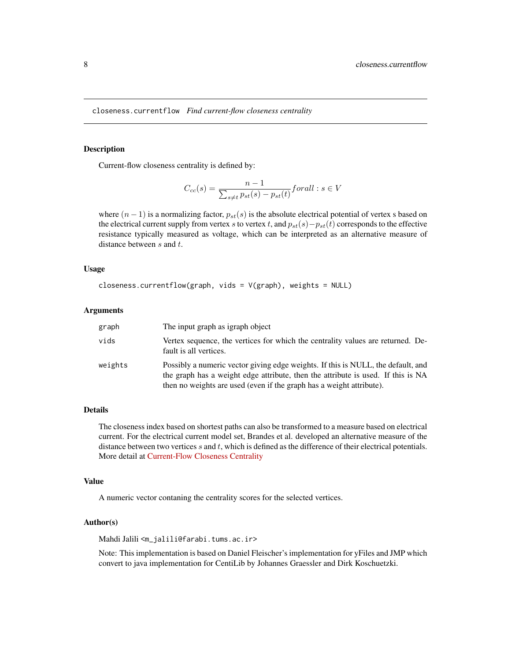<span id="page-7-0"></span>closeness.currentflow *Find current-flow closeness centrality*

#### Description

Current-flow closeness centrality is defined by:

$$
C_{cc}(s) = \frac{n-1}{\sum_{s \neq t} p_{st}(s) - p_{st}(t)} for all: s \in V
$$

where  $(n-1)$  is a normalizing factor,  $p_{st}(s)$  is the absolute electrical potential of vertex s based on the electrical current supply from vertex s to vertex t, and  $p_{st}(s)-p_{st}(t)$  corresponds to the effective resistance typically measured as voltage, which can be interpreted as an alternative measure of distance between  $s$  and  $t$ .

#### Usage

```
closeness.currentflow(graph, vids = V(graph), weights = NULL)
```
#### Arguments

| graph   | The input graph as igraph object                                                                                                                                                                                                             |
|---------|----------------------------------------------------------------------------------------------------------------------------------------------------------------------------------------------------------------------------------------------|
| vids    | Vertex sequence, the vertices for which the centrality values are returned. De-<br>fault is all vertices.                                                                                                                                    |
| weights | Possibly a numeric vector giving edge weights. If this is NULL, the default, and<br>the graph has a weight edge attribute, then the attribute is used. If this is NA<br>then no weights are used (even if the graph has a weight attribute). |

#### Details

The closeness index based on shortest paths can also be transformed to a measure based on electrical current. For the electrical current model set, Brandes et al. developed an alternative measure of the distance between two vertices  $s$  and  $t$ , which is defined as the difference of their electrical potentials. More detail at [Current-Flow Closeness Centrality](http://www.centiserver.org/?q1=centrality&q2=Current-Flow_Closeness_Centrality)

#### Value

A numeric vector contaning the centrality scores for the selected vertices.

#### Author(s)

Mahdi Jalili <m\_jalili@farabi.tums.ac.ir>

Note: This implementation is based on Daniel Fleischer's implementation for yFiles and JMP which convert to java implementation for CentiLib by Johannes Graessler and Dirk Koschuetzki.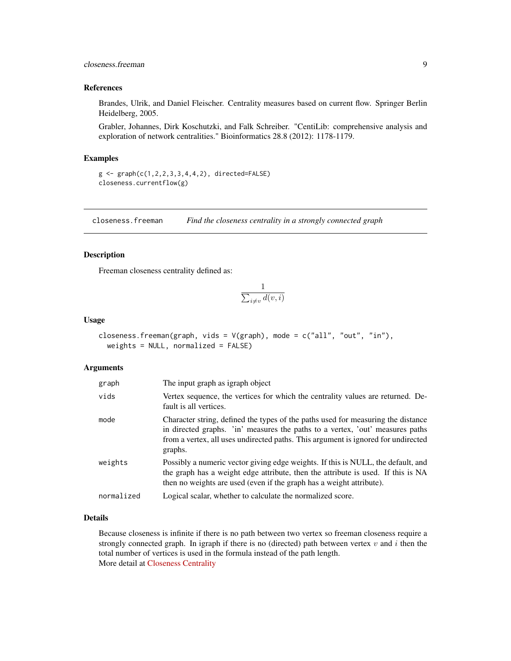## <span id="page-8-0"></span>closeness.freeman 9

## References

Brandes, Ulrik, and Daniel Fleischer. Centrality measures based on current flow. Springer Berlin Heidelberg, 2005.

Grabler, Johannes, Dirk Koschutzki, and Falk Schreiber. "CentiLib: comprehensive analysis and exploration of network centralities." Bioinformatics 28.8 (2012): 1178-1179.

#### Examples

```
g \leq - graph(c(1, 2, 2, 3, 3, 4, 4, 2), directed=FALSE)
closeness.currentflow(g)
```
closeness.freeman *Find the closeness centrality in a strongly connected graph*

## Description

Freeman closeness centrality defined as:

$$
\frac{1}{\sum_{i \neq v} d(v, i)}
$$

#### Usage

```
closeness.freeman(graph, vids = V(graph), mode = c("all", "out", "in"),
 weights = NULL, normalized = FALSE)
```
#### Arguments

| graph      | The input graph as igraph object                                                                                                                                                                                                                                  |
|------------|-------------------------------------------------------------------------------------------------------------------------------------------------------------------------------------------------------------------------------------------------------------------|
| vids       | Vertex sequence, the vertices for which the centrality values are returned. De-<br>fault is all vertices.                                                                                                                                                         |
| mode       | Character string, defined the types of the paths used for measuring the distance<br>in directed graphs. 'in' measures the paths to a vertex, 'out' measures paths<br>from a vertex, all uses undirected paths. This argument is ignored for undirected<br>graphs. |
| weights    | Possibly a numeric vector giving edge weights. If this is NULL, the default, and<br>the graph has a weight edge attribute, then the attribute is used. If this is NA<br>then no weights are used (even if the graph has a weight attribute).                      |
| normalized | Logical scalar, whether to calculate the normalized score.                                                                                                                                                                                                        |

#### Details

Because closeness is infinite if there is no path between two vertex so freeman closeness require a strongly connected graph. In igraph if there is no (directed) path between vertex  $v$  and  $i$  then the total number of vertices is used in the formula instead of the path length. More detail at [Closeness Centrality](http://www.centiserver.org/?q1=centrality&q2=Closeness_Centrality)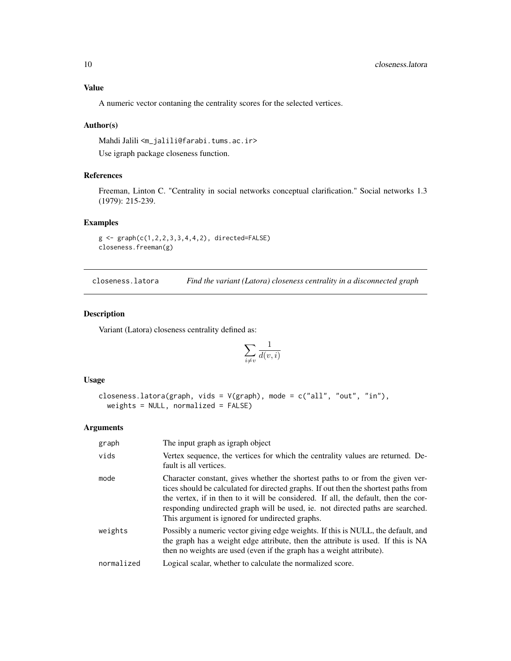## <span id="page-9-0"></span>Value

A numeric vector contaning the centrality scores for the selected vertices.

#### Author(s)

Mahdi Jalili <m\_jalili@farabi.tums.ac.ir>

Use igraph package closeness function.

## References

Freeman, Linton C. "Centrality in social networks conceptual clarification." Social networks 1.3 (1979): 215-239.

#### Examples

```
g <- graph(c(1,2,2,3,3,4,4,2), directed=FALSE)
closeness.freeman(g)
```
closeness.latora *Find the variant (Latora) closeness centrality in a disconnected graph*

#### Description

Variant (Latora) closeness centrality defined as:

$$
\sum_{i\neq v}\frac{1}{d(v,i)}
$$

#### Usage

```
closeness.latora(graph, vids = V(graph), mode = c("all", "out", "in"),
 weights = NULL, normalized = FALSE)
```
## Arguments

| graph      | The input graph as igraph object                                                                                                                                                                                                                                                                                                                                                                  |
|------------|---------------------------------------------------------------------------------------------------------------------------------------------------------------------------------------------------------------------------------------------------------------------------------------------------------------------------------------------------------------------------------------------------|
| vids       | Vertex sequence, the vertices for which the centrality values are returned. De-<br>fault is all vertices.                                                                                                                                                                                                                                                                                         |
| mode       | Character constant, gives whether the shortest paths to or from the given ver-<br>tices should be calculated for directed graphs. If out then the shortest paths from<br>the vertex, if in then to it will be considered. If all, the default, then the cor-<br>responding undirected graph will be used, ie. not directed paths are searched.<br>This argument is ignored for undirected graphs. |
| weights    | Possibly a numeric vector giving edge weights. If this is NULL, the default, and<br>the graph has a weight edge attribute, then the attribute is used. If this is NA<br>then no weights are used (even if the graph has a weight attribute).                                                                                                                                                      |
| normalized | Logical scalar, whether to calculate the normalized score.                                                                                                                                                                                                                                                                                                                                        |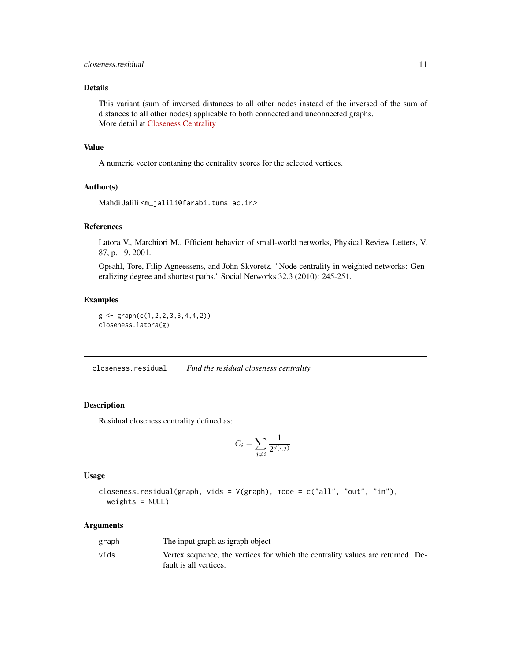## <span id="page-10-0"></span>Details

This variant (sum of inversed distances to all other nodes instead of the inversed of the sum of distances to all other nodes) applicable to both connected and unconnected graphs. More detail at [Closeness Centrality](http://www.centiserver.org/?q1=centrality&q2=Closeness_Centrality)

## Value

A numeric vector contaning the centrality scores for the selected vertices.

#### Author(s)

```
Mahdi Jalili <m_jalili@farabi.tums.ac.ir>
```
## References

Latora V., Marchiori M., Efficient behavior of small-world networks, Physical Review Letters, V. 87, p. 19, 2001.

Opsahl, Tore, Filip Agneessens, and John Skvoretz. "Node centrality in weighted networks: Generalizing degree and shortest paths." Social Networks 32.3 (2010): 245-251.

#### Examples

```
g \leftarrow \text{graph}(c(1, 2, 2, 3, 3, 4, 4, 2))closeness.latora(g)
```
closeness.residual *Find the residual closeness centrality*

## Description

Residual closeness centrality defined as:

$$
C_i = \sum_{j \neq i} \frac{1}{2^{d(i,j)}}
$$

## Usage

closeness.residual(graph, vids = V(graph), mode = c("all", "out", "in"),  $weights = NULL)$ 

#### Arguments

| graph | The input graph as igraph object                                                |
|-------|---------------------------------------------------------------------------------|
| vids  | Vertex sequence, the vertices for which the centrality values are returned. De- |
|       | fault is all vertices.                                                          |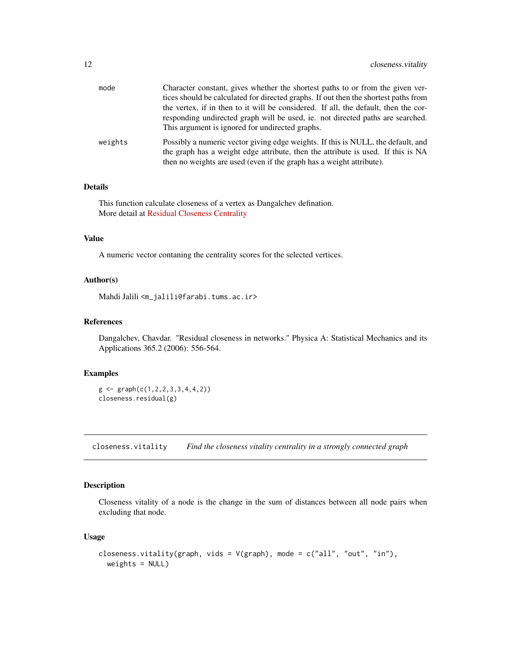<span id="page-11-0"></span>

| mode    | Character constant, gives whether the shortest paths to or from the given ver-<br>tices should be calculated for directed graphs. If out then the shortest paths from<br>the vertex, if in then to it will be considered. If all, the default, then the cor-<br>responding undirected graph will be used, ie. not directed paths are searched.<br>This argument is ignored for undirected graphs. |
|---------|---------------------------------------------------------------------------------------------------------------------------------------------------------------------------------------------------------------------------------------------------------------------------------------------------------------------------------------------------------------------------------------------------|
| weights | Possibly a numeric vector giving edge weights. If this is NULL, the default, and<br>the graph has a weight edge attribute, then the attribute is used. If this is NA<br>then no weights are used (even if the graph has a weight attribute).                                                                                                                                                      |

#### Details

This function calculate closeness of a vertex as Dangalchev defination. More detail at [Residual Closeness Centrality](http://www.centiserver.org/?q1=centrality&q2=Residual_Closeness_Centrality)

## Value

A numeric vector contaning the centrality scores for the selected vertices.

## Author(s)

Mahdi Jalili <m\_jalili@farabi.tums.ac.ir>

## References

Dangalchev, Chavdar. "Residual closeness in networks." Physica A: Statistical Mechanics and its Applications 365.2 (2006): 556-564.

## Examples

 $g \leftarrow \text{graph}(c(1, 2, 2, 3, 3, 4, 4, 2))$ closeness.residual(g)

closeness.vitality *Find the closeness vitality centrality in a strongly connected graph*

## Description

Closeness vitality of a node is the change in the sum of distances between all node pairs when excluding that node.

## Usage

```
closeness.vitality(graph, vids = V(graph), mode = c("all", "out", "in"),
  weights = NULL)
```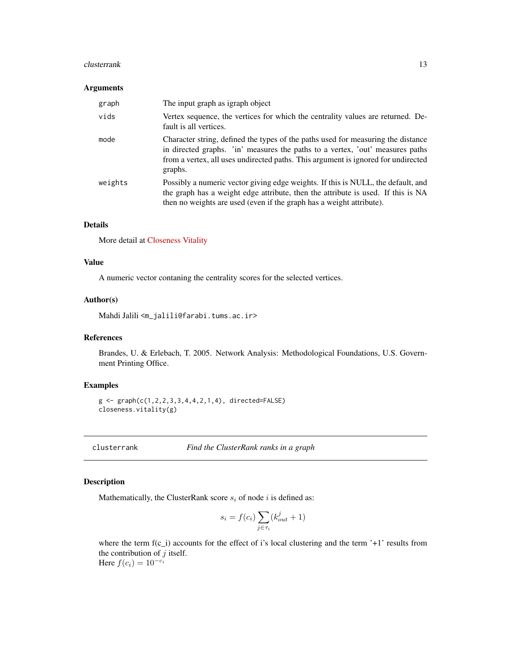#### <span id="page-12-0"></span>clusterrank that the contract of the contract of the contract of the contract of the contract of the contract of the contract of the contract of the contract of the contract of the contract of the contract of the contract

#### Arguments

| graph   | The input graph as igraph object                                                                                                                                                                                                                                  |
|---------|-------------------------------------------------------------------------------------------------------------------------------------------------------------------------------------------------------------------------------------------------------------------|
| vids    | Vertex sequence, the vertices for which the centrality values are returned. De-<br>fault is all vertices.                                                                                                                                                         |
| mode    | Character string, defined the types of the paths used for measuring the distance<br>in directed graphs. 'in' measures the paths to a vertex, 'out' measures paths<br>from a vertex, all uses undirected paths. This argument is ignored for undirected<br>graphs. |
| weights | Possibly a numeric vector giving edge weights. If this is NULL, the default, and<br>the graph has a weight edge attribute, then the attribute is used. If this is NA<br>then no weights are used (even if the graph has a weight attribute).                      |

## Details

More detail at [Closeness Vitality](http://www.centiserver.org/?q1=centrality&q2=Closeness_Vitality)

## Value

A numeric vector contaning the centrality scores for the selected vertices.

#### Author(s)

Mahdi Jalili <m\_jalili@farabi.tums.ac.ir>

## References

Brandes, U. & Erlebach, T. 2005. Network Analysis: Methodological Foundations, U.S. Government Printing Office.

## Examples

```
g \leftarrow \text{graph}(c(1, 2, 2, 3, 3, 4, 4, 2, 1, 4), \text{ directed-FALSE})closeness.vitality(g)
```
clusterrank *Find the ClusterRank ranks in a graph*

## Description

Mathematically, the ClusterRank score  $s_i$  of node i is defined as:

$$
s_i = f(c_i) \sum_{j \in \tau_i} (k_{out}^j + 1)
$$

where the term  $f(c_i)$  accounts for the effect of i's local clustering and the term '+1' results from the contribution of  $j$  itself. Here  $f(c_i) = 10^{-c_i}$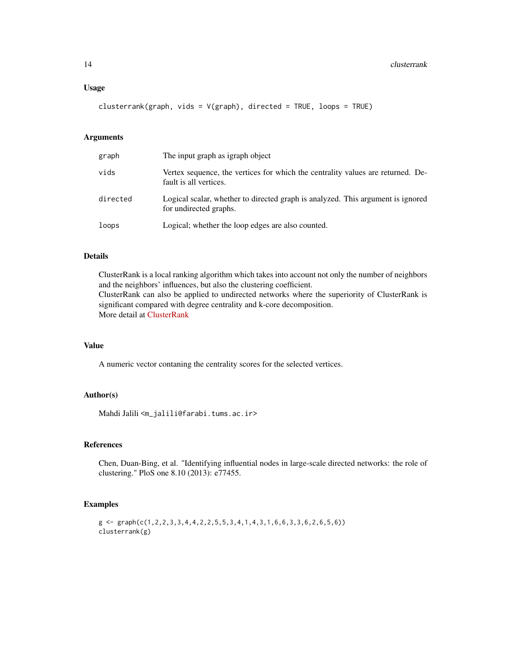clusterrank(graph, vids = V(graph), directed = TRUE, loops = TRUE)

## Arguments

| graph    | The input graph as igraph object                                                                          |
|----------|-----------------------------------------------------------------------------------------------------------|
| vids     | Vertex sequence, the vertices for which the centrality values are returned. De-<br>fault is all vertices. |
| directed | Logical scalar, whether to directed graph is analyzed. This argument is ignored<br>for undirected graphs. |
| loops    | Logical; whether the loop edges are also counted.                                                         |

## Details

ClusterRank is a local ranking algorithm which takes into account not only the number of neighbors and the neighbors' influences, but also the clustering coefficient. ClusterRank can also be applied to undirected networks where the superiority of ClusterRank is significant compared with degree centrality and k-core decomposition.

More detail at [ClusterRank](http://www.centiserver.org/?q1=centrality&q2=ClusterRank)

#### Value

A numeric vector contaning the centrality scores for the selected vertices.

## Author(s)

Mahdi Jalili <m\_jalili@farabi.tums.ac.ir>

## References

Chen, Duan-Bing, et al. "Identifying influential nodes in large-scale directed networks: the role of clustering." PloS one 8.10 (2013): e77455.

#### Examples

```
g \leftarrow \text{graph}(c(1, 2, 2, 3, 3, 4, 4, 2, 2, 5, 5, 3, 4, 1, 4, 3, 1, 6, 6, 3, 3, 6, 2, 6, 5, 6))clusterrank(g)
```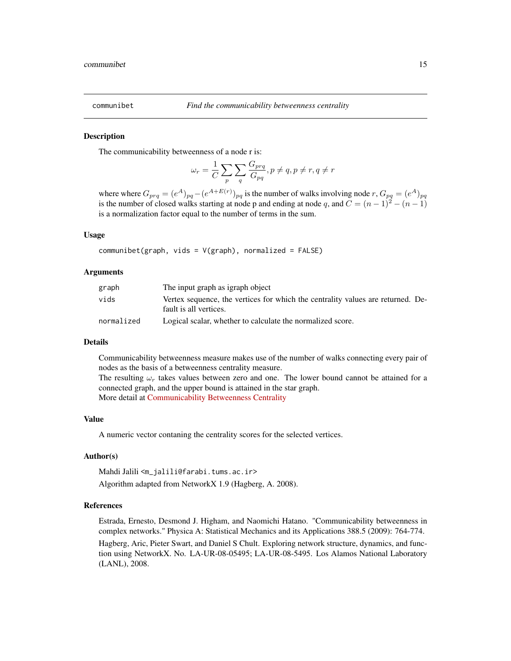<span id="page-14-0"></span>

#### **Description**

The communicability betweenness of a node r is:

$$
\omega_r = \frac{1}{C} \sum_p \sum_q \frac{G_{prq}}{G_{pq}}, p \neq q, p \neq r, q \neq r
$$

where where  $G_{prq} = (e^A)_{pq} - (e^{A+E(r)})_{pq}$  is the number of walks involving node  $r, G_{pq} = (e^A)_{pq}$ is the number of closed walks starting at node p and ending at node q, and  $C = (n-1)^2 - (n-1)$ is a normalization factor equal to the number of terms in the sum.

#### Usage

communibet(graph, vids =  $V(\text{graph})$ , normalized = FALSE)

#### Arguments

| graph      | The input graph as igraph object                                                                          |
|------------|-----------------------------------------------------------------------------------------------------------|
| vids       | Vertex sequence, the vertices for which the centrality values are returned. De-<br>fault is all vertices. |
| normalized | Logical scalar, whether to calculate the normalized score.                                                |

#### Details

Communicability betweenness measure makes use of the number of walks connecting every pair of nodes as the basis of a betweenness centrality measure.

The resulting  $\omega_r$  takes values between zero and one. The lower bound cannot be attained for a connected graph, and the upper bound is attained in the star graph. More detail at [Communicability Betweenness Centrality](http://www.centiserver.org/?q1=centrality&q2=Communicability_Betweenness_Centrality)

#### Value

A numeric vector contaning the centrality scores for the selected vertices.

#### Author(s)

Mahdi Jalili <m\_jalili@farabi.tums.ac.ir>

Algorithm adapted from NetworkX 1.9 (Hagberg, A. 2008).

#### References

Estrada, Ernesto, Desmond J. Higham, and Naomichi Hatano. "Communicability betweenness in complex networks." Physica A: Statistical Mechanics and its Applications 388.5 (2009): 764-774.

Hagberg, Aric, Pieter Swart, and Daniel S Chult. Exploring network structure, dynamics, and function using NetworkX. No. LA-UR-08-05495; LA-UR-08-5495. Los Alamos National Laboratory (LANL), 2008.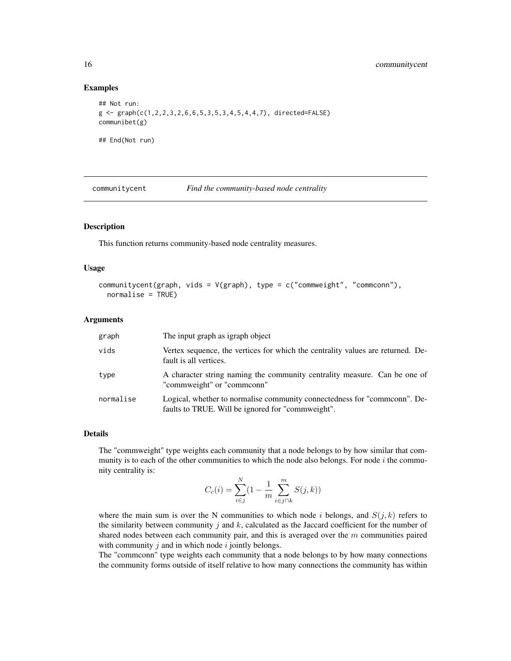#### Examples

```
## Not run:
g <- graph(c(1,2,2,3,2,6,6,5,3,5,3,4,5,4,4,7), directed=FALSE)
communibet(g)
## End(Not run)
```
communitycent *Find the community-based node centrality*

#### Description

This function returns community-based node centrality measures.

#### Usage

```
communitycent(graph, vids = V(graph), type = c("commweight", "commconn"),
  normalise = TRUE)
```
#### Arguments

| graph     | The input graph as igraph object                                                                                              |
|-----------|-------------------------------------------------------------------------------------------------------------------------------|
| vids      | Vertex sequence, the vertices for which the centrality values are returned. De-<br>fault is all vertices.                     |
| type      | A character string naming the community centrality measure. Can be one of<br>"commweight" or "commconn"                       |
| normalise | Logical, whether to normalise community connectedness for "commonn". De-<br>faults to TRUE. Will be ignored for "commweight". |

#### Details

The "commweight" type weights each community that a node belongs to by how similar that community is to each of the other communities to which the node also belongs. For node  $i$  the community centrality is:

$$
C_c(i) = \sum_{i \in j}^{N} (1 - \frac{1}{m} \sum_{i \in j \cap k}^{m} S(j, k))
$$

where the main sum is over the N communities to which node i belongs, and  $S(i, k)$  refers to the similarity between community j and  $k$ , calculated as the Jaccard coefficient for the number of shared nodes between each community pair, and this is averaged over the  $m$  communities paired with community  $j$  and in which node  $i$  jointly belongs.

The "commconn" type weights each community that a node belongs to by how many connections the community forms outside of itself relative to how many connections the community has within

<span id="page-15-0"></span>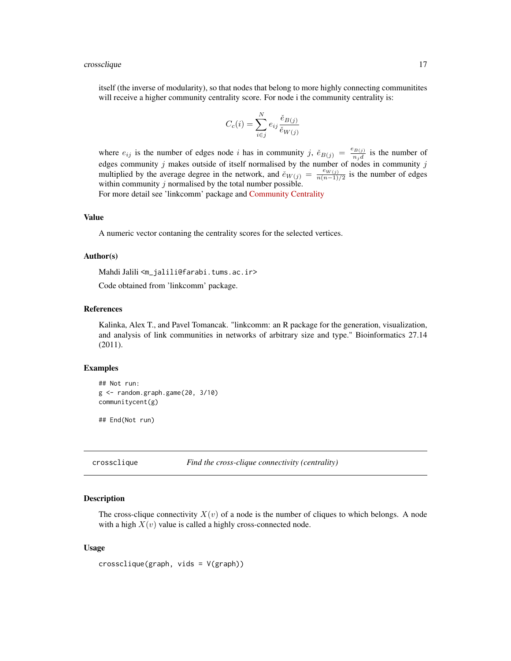#### <span id="page-16-0"></span>crossclique to the contract of the contract of the contract of the contract of the contract of the contract of the contract of the contract of the contract of the contract of the contract of the contract of the contract of

itself (the inverse of modularity), so that nodes that belong to more highly connecting communitites will receive a higher community centrality score. For node i the community centrality is:

$$
C_c(i) = \sum_{i \in j}^{N} e_{ij} \frac{\check{e}_{B(j)}}{\check{e}_{W(j)}}
$$

where  $e_{ij}$  is the number of edges node i has in community j,  $\check{e}_{B(j)} = \frac{e_{B(j)}}{n_j d}$  is the number of edges community j makes outside of itself normalised by the number of nodes in community j multiplied by the average degree in the network, and  $\check{e}_{W(j)} = \frac{e_{W(j)}}{n(n-1)}$  $\frac{ew(j)}{n(n-1)/2}$  is the number of edges within community  $j$  normalised by the total number possible.

For more detail see 'linkcomm' package and [Community Centrality](http://www.centiserver.org/?q1=centrality&q2=Community_Centrality)

## Value

A numeric vector contaning the centrality scores for the selected vertices.

#### Author(s)

Mahdi Jalili <m\_jalili@farabi.tums.ac.ir>

Code obtained from 'linkcomm' package.

#### References

Kalinka, Alex T., and Pavel Tomancak. "linkcomm: an R package for the generation, visualization, and analysis of link communities in networks of arbitrary size and type." Bioinformatics 27.14 (2011).

#### Examples

```
## Not run:
g <- random.graph.game(20, 3/10)
communitycent(g)
```
## End(Not run)

crossclique *Find the cross-clique connectivity (centrality)*

#### Description

The cross-clique connectivity  $X(v)$  of a node is the number of cliques to which belongs. A node with a high  $X(v)$  value is called a highly cross-connected node.

#### Usage

crossclique(graph, vids = V(graph))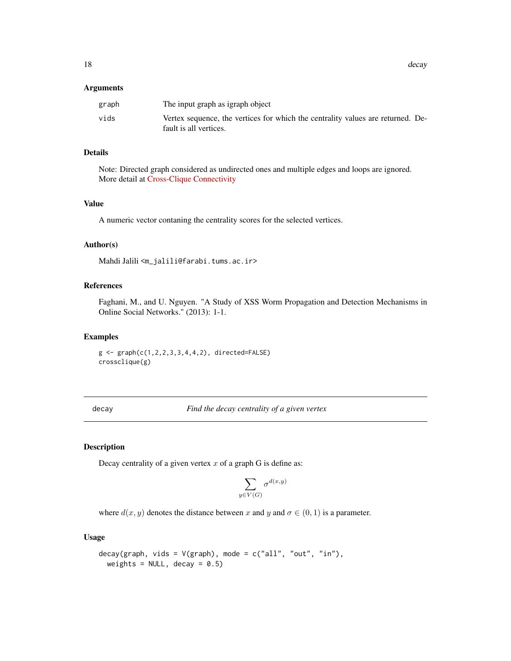<span id="page-17-0"></span>18 decay and the contract of the contract of the contract of the contract of the contract of the contract of the contract of the contract of the contract of the contract of the contract of the contract of the contract of t

#### Arguments

| graph | The input graph as igraph object                                                |
|-------|---------------------------------------------------------------------------------|
| vids  | Vertex sequence, the vertices for which the centrality values are returned. De- |
|       | fault is all vertices.                                                          |

## Details

Note: Directed graph considered as undirected ones and multiple edges and loops are ignored. More detail at [Cross-Clique Connectivity](http://www.centiserver.org/?q1=centrality&q2=Cross-Clique_Connectivity)

## Value

A numeric vector contaning the centrality scores for the selected vertices.

#### Author(s)

Mahdi Jalili <m\_jalili@farabi.tums.ac.ir>

#### References

Faghani, M., and U. Nguyen. "A Study of XSS Worm Propagation and Detection Mechanisms in Online Social Networks." (2013): 1-1.

#### Examples

 $g \leq -$  graph( $c(1, 2, 2, 3, 3, 4, 4, 2)$ , directed=FALSE) crossclique(g)

decay *Find the decay centrality of a given vertex*

## Description

Decay centrality of a given vertex  $x$  of a graph G is define as:

$$
\sum_{y \in V(G)} \sigma^{d(x,y)}
$$

where  $d(x, y)$  denotes the distance between x and y and  $\sigma \in (0, 1)$  is a parameter.

#### Usage

```
decay(graph, vids = V(\text{graph}), mode = c("all", "out", "in"),weights = NULL, decay = 0.5)
```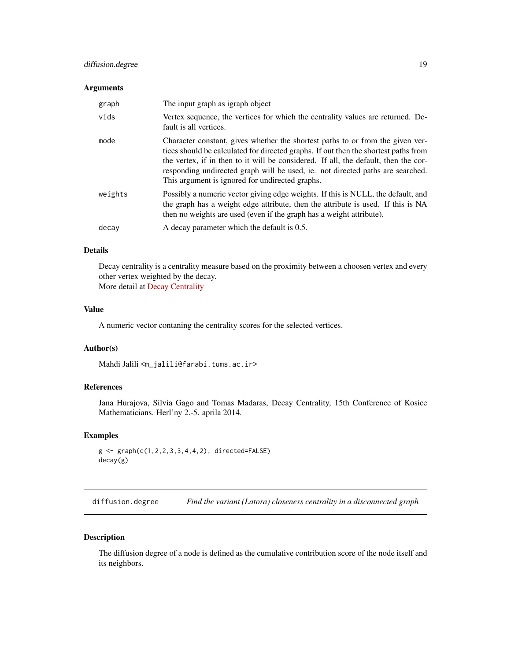## <span id="page-18-0"></span>diffusion.degree 19

#### Arguments

| graph   | The input graph as igraph object                                                                                                                                                                                                                                                                                                                                                                  |
|---------|---------------------------------------------------------------------------------------------------------------------------------------------------------------------------------------------------------------------------------------------------------------------------------------------------------------------------------------------------------------------------------------------------|
| vids    | Vertex sequence, the vertices for which the centrality values are returned. De-<br>fault is all vertices.                                                                                                                                                                                                                                                                                         |
| mode    | Character constant, gives whether the shortest paths to or from the given ver-<br>tices should be calculated for directed graphs. If out then the shortest paths from<br>the vertex, if in then to it will be considered. If all, the default, then the cor-<br>responding undirected graph will be used, ie. not directed paths are searched.<br>This argument is ignored for undirected graphs. |
| weights | Possibly a numeric vector giving edge weights. If this is NULL, the default, and<br>the graph has a weight edge attribute, then the attribute is used. If this is NA<br>then no weights are used (even if the graph has a weight attribute).                                                                                                                                                      |
| decay   | A decay parameter which the default is 0.5.                                                                                                                                                                                                                                                                                                                                                       |

#### Details

Decay centrality is a centrality measure based on the proximity between a choosen vertex and every other vertex weighted by the decay. More detail at [Decay Centrality](http://www.centiserver.org/?q1=centrality&q2=Decay_Centrality)

## Value

A numeric vector contaning the centrality scores for the selected vertices.

#### Author(s)

Mahdi Jalili <m\_jalili@farabi.tums.ac.ir>

## References

Jana Hurajova, Silvia Gago and Tomas Madaras, Decay Centrality, 15th Conference of Kosice Mathematicians. Herl'ny 2.-5. aprila 2014.

## Examples

```
g \leftarrow \text{graph}(c(1, 2, 2, 3, 3, 4, 4, 2), \text{ directed-FALSE})decay(g)
```
diffusion.degree *Find the variant (Latora) closeness centrality in a disconnected graph*

## Description

The diffusion degree of a node is defined as the cumulative contribution score of the node itself and its neighbors.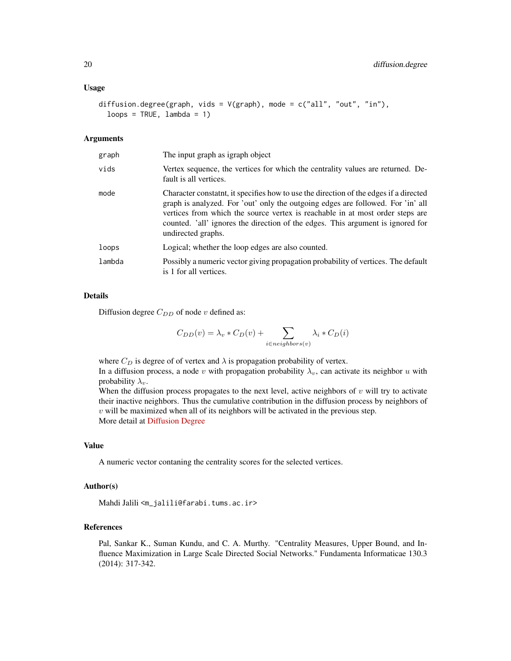#### Usage

```
diffusion.degree(graph, vids = V(graph), mode = c("all", "out", "in"),
  loops = TRUE, lambda = 1)
```
#### Arguments

| graph  | The input graph as igraph object                                                                                                                                                                                                                                                                                                                                  |
|--------|-------------------------------------------------------------------------------------------------------------------------------------------------------------------------------------------------------------------------------------------------------------------------------------------------------------------------------------------------------------------|
| vids   | Vertex sequence, the vertices for which the centrality values are returned. De-<br>fault is all vertices.                                                                                                                                                                                                                                                         |
| mode   | Character constant, it specifies how to use the direction of the edges if a directed<br>graph is analyzed. For 'out' only the outgoing edges are followed. For 'in' all<br>vertices from which the source vertex is reachable in at most order steps are<br>counted. 'all' ignores the direction of the edges. This argument is ignored for<br>undirected graphs. |
| loops  | Logical; whether the loop edges are also counted.                                                                                                                                                                                                                                                                                                                 |
| lambda | Possibly a numeric vector giving propagation probability of vertices. The default<br>is 1 for all vertices.                                                                                                                                                                                                                                                       |

## Details

Diffusion degree  $C_{DD}$  of node v defined as:

$$
C_{DD}(v) = \lambda_v * C_D(v) + \sum_{i \in neighbors(v)} \lambda_i * C_D(i)
$$

where  $C_D$  is degree of of vertex and  $\lambda$  is propagation probability of vertex.

In a diffusion process, a node v with propagation probability  $\lambda_v$ , can activate its neighbor u with probability  $\lambda_v$ .

When the diffusion process propagates to the next level, active neighbors of  $v$  will try to activate their inactive neighbors. Thus the cumulative contribution in the diffusion process by neighbors of  $v$  will be maximized when all of its neighbors will be activated in the previous step. More detail at [Diffusion Degree](http://www.centiserver.org/?q1=centrality&q2=Diffusion_Degree)

## Value

A numeric vector contaning the centrality scores for the selected vertices.

## Author(s)

Mahdi Jalili <m\_jalili@farabi.tums.ac.ir>

## References

Pal, Sankar K., Suman Kundu, and C. A. Murthy. "Centrality Measures, Upper Bound, and Influence Maximization in Large Scale Directed Social Networks." Fundamenta Informaticae 130.3 (2014): 317-342.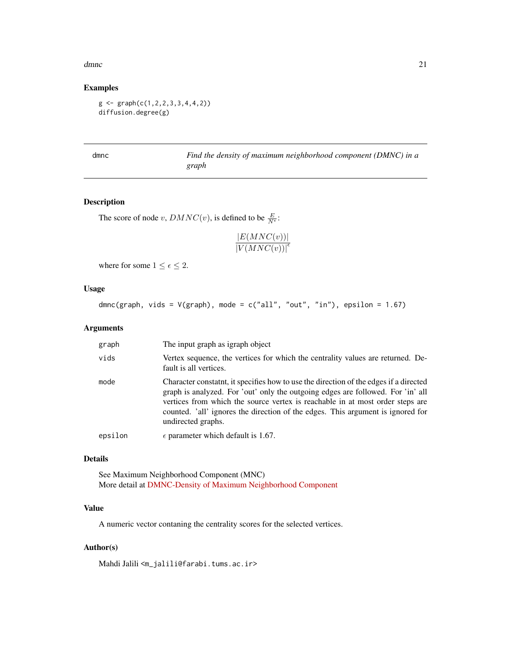#### <span id="page-20-0"></span>dmnc 21

## Examples

 $g \leftarrow \text{graph}(c(1, 2, 2, 3, 3, 4, 4, 2))$ diffusion.degree(g)

dmnc *Find the density of maximum neighborhood component (DMNC) in a graph*

## Description

The score of node v,  $DMNC(v)$ , is defined to be  $\frac{E}{N^{\epsilon}}$ :

 $|E(MNC(v))|$  $\overline{\left| {V(MNC(v))} \right|^{\epsilon}}$ 

where for some  $1 \leq \epsilon \leq 2$ .

## Usage

dmnc(graph, vids =  $V(\text{graph})$ , mode =  $c("all", "out", "in")$ , epsilon = 1.67)

#### Arguments

| graph   | The input graph as igraph object                                                                                                                                                                                                                                                                                                                                   |
|---------|--------------------------------------------------------------------------------------------------------------------------------------------------------------------------------------------------------------------------------------------------------------------------------------------------------------------------------------------------------------------|
| vids    | Vertex sequence, the vertices for which the centrality values are returned. De-<br>fault is all vertices.                                                                                                                                                                                                                                                          |
| mode    | Character constaint, it specifies how to use the direction of the edges if a directed<br>graph is analyzed. For 'out' only the outgoing edges are followed. For 'in' all<br>vertices from which the source vertex is reachable in at most order steps are<br>counted. 'all' ignores the direction of the edges. This argument is ignored for<br>undirected graphs. |
| epsilon | $\epsilon$ parameter which default is 1.67.                                                                                                                                                                                                                                                                                                                        |
|         |                                                                                                                                                                                                                                                                                                                                                                    |

## Details

See Maximum Neighborhood Component (MNC) More detail at [DMNC-Density of Maximum Neighborhood Component](http://www.centiserver.org/?q1=centrality&q2=DMNC-Density_of_Maximum_Neighborhood_Component)

## Value

A numeric vector contaning the centrality scores for the selected vertices.

## Author(s)

Mahdi Jalili <m\_jalili@farabi.tums.ac.ir>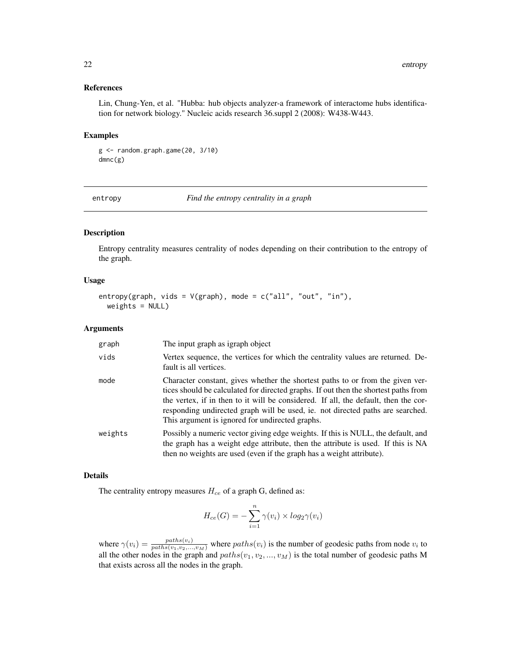#### <span id="page-21-0"></span>References

Lin, Chung-Yen, et al. "Hubba: hub objects analyzer-a framework of interactome hubs identification for network biology." Nucleic acids research 36.suppl 2 (2008): W438-W443.

#### Examples

```
g <- random.graph.game(20, 3/10)
dmnc(g)
```
entropy *Find the entropy centrality in a graph*

#### Description

Entropy centrality measures centrality of nodes depending on their contribution to the entropy of the graph.

#### Usage

```
entropy(graph, vids = V(\text{graph}), mode = c("all", "out", "in"),weights = NULL)
```
#### Arguments

| graph   | The input graph as igraph object                                                                                                                                                                                                                                                                                                                                                                  |
|---------|---------------------------------------------------------------------------------------------------------------------------------------------------------------------------------------------------------------------------------------------------------------------------------------------------------------------------------------------------------------------------------------------------|
| vids    | Vertex sequence, the vertices for which the centrality values are returned. De-<br>fault is all vertices.                                                                                                                                                                                                                                                                                         |
| mode    | Character constant, gives whether the shortest paths to or from the given ver-<br>tices should be calculated for directed graphs. If out then the shortest paths from<br>the vertex, if in then to it will be considered. If all, the default, then the cor-<br>responding undirected graph will be used, ie. not directed paths are searched.<br>This argument is ignored for undirected graphs. |
| weights | Possibly a numeric vector giving edge weights. If this is NULL, the default, and<br>the graph has a weight edge attribute, then the attribute is used. If this is NA<br>then no weights are used (even if the graph has a weight attribute).                                                                                                                                                      |

#### Details

The centrality entropy measures  $H_{ce}$  of a graph G, defined as:

$$
H_{ce}(G) = -\sum_{i=1}^{n} \gamma(v_i) \times log_2 \gamma(v_i)
$$

where  $\gamma(v_i) = \frac{paths(v_i)}{paths(v_1, v_2, ..., v_M)}$  where  $paths(v_i)$  is the number of geodesic paths from node  $v_i$  to all the other nodes in the graph and  $paths(v_1, v_2, ..., v_M)$  is the total number of geodesic paths M that exists across all the nodes in the graph.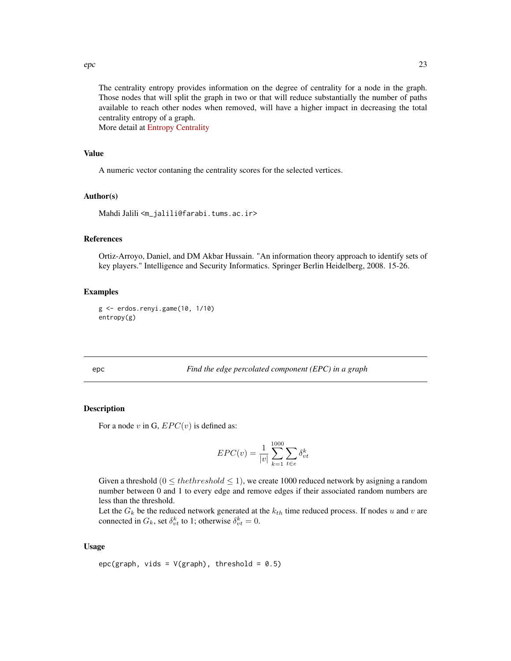<span id="page-22-0"></span> $e$ epc 23

The centrality entropy provides information on the degree of centrality for a node in the graph. Those nodes that will split the graph in two or that will reduce substantially the number of paths available to reach other nodes when removed, will have a higher impact in decreasing the total centrality entropy of a graph.

More detail at [Entropy Centrality](http://www.centiserver.org/?q1=centrality&q2=Entropy_Centrality)

#### Value

A numeric vector contaning the centrality scores for the selected vertices.

#### Author(s)

Mahdi Jalili <m\_jalili@farabi.tums.ac.ir>

## References

Ortiz-Arroyo, Daniel, and DM Akbar Hussain. "An information theory approach to identify sets of key players." Intelligence and Security Informatics. Springer Berlin Heidelberg, 2008. 15-26.

#### Examples

```
g <- erdos.renyi.game(10, 1/10)
entropy(g)
```
epc *Find the edge percolated component (EPC) in a graph*

## Description

For a node v in G,  $EPC(v)$  is defined as:

$$
EPC(v) = \frac{1}{|v|} \sum_{k=1}^{1000} \sum_{t \in e} \delta_{vt}^k
$$

Given a threshold  $(0 \leq the threshold \leq 1)$ , we create 1000 reduced network by asigning a random number between 0 and 1 to every edge and remove edges if their associated random numbers are less than the threshold.

Let the  $G_k$  be the reduced network generated at the  $k_{th}$  time reduced process. If nodes u and v are connected in  $G_k$ , set  $\delta_{vt}^k$  to 1; otherwise  $\delta_{vt}^k = 0$ .

#### Usage

```
epc(graph, vids = V(\text{graph}), threshold = 0.5)
```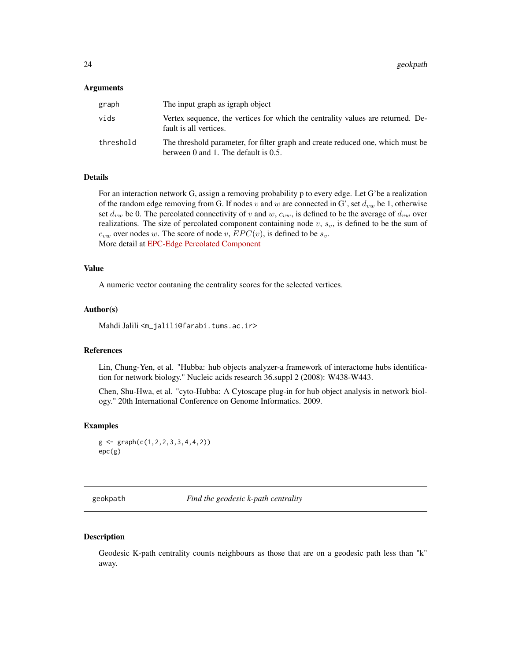#### <span id="page-23-0"></span>Arguments

| graph     | The input graph as igraph object                                                                                                |
|-----------|---------------------------------------------------------------------------------------------------------------------------------|
| vids      | Vertex sequence, the vertices for which the centrality values are returned. De-<br>fault is all vertices.                       |
| threshold | The threshold parameter, for filter graph and create reduced one, which must be<br>between $0$ and $1$ . The default is $0.5$ . |

#### Details

For an interaction network G, assign a removing probability p to every edge. Let G'be a realization of the random edge removing from G. If nodes v and w are connected in G', set  $d_{vw}$  be 1, otherwise set  $d_{vw}$  be 0. The percolated connectivity of v and w,  $c_{vw}$ , is defined to be the average of  $d_{vw}$  over realizations. The size of percolated component containing node  $v$ ,  $s_v$ , is defined to be the sum of  $c_{vw}$  over nodes w. The score of node v,  $EPC(v)$ , is defined to be  $s_v$ . More detail at [EPC-Edge Percolated Component](http://www.centiserver.org/?q1=centrality&q2=EPC-Edge_Percolated_Component)

#### Value

A numeric vector contaning the centrality scores for the selected vertices.

#### Author(s)

Mahdi Jalili <m\_jalili@farabi.tums.ac.ir>

## References

Lin, Chung-Yen, et al. "Hubba: hub objects analyzer-a framework of interactome hubs identification for network biology." Nucleic acids research 36.suppl 2 (2008): W438-W443.

Chen, Shu-Hwa, et al. "cyto-Hubba: A Cytoscape plug-in for hub object analysis in network biology." 20th International Conference on Genome Informatics. 2009.

## Examples

```
g \leftarrow \text{graph}(c(1, 2, 2, 3, 3, 4, 4, 2))epc(g)
```
geokpath *Find the geodesic k-path centrality*

#### Description

Geodesic K-path centrality counts neighbours as those that are on a geodesic path less than "k" away.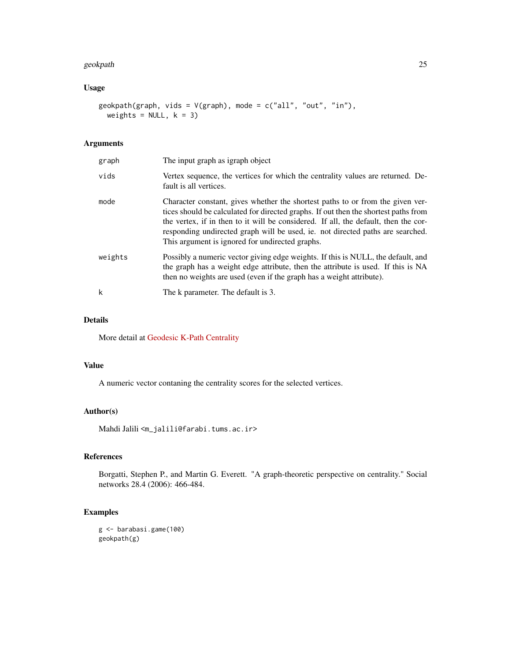#### geokpath 25

## Usage

```
geokpath(graph, vids = V(graph), mode = c("all", "out", "in"),
 weights = NULL, k = 3)
```
## Arguments

| graph   | The input graph as igraph object                                                                                                                                                                                                                                                                                                                                                                  |
|---------|---------------------------------------------------------------------------------------------------------------------------------------------------------------------------------------------------------------------------------------------------------------------------------------------------------------------------------------------------------------------------------------------------|
| vids    | Vertex sequence, the vertices for which the centrality values are returned. De-<br>fault is all vertices.                                                                                                                                                                                                                                                                                         |
| mode    | Character constant, gives whether the shortest paths to or from the given ver-<br>tices should be calculated for directed graphs. If out then the shortest paths from<br>the vertex, if in then to it will be considered. If all, the default, then the cor-<br>responding undirected graph will be used, ie. not directed paths are searched.<br>This argument is ignored for undirected graphs. |
| weights | Possibly a numeric vector giving edge weights. If this is NULL, the default, and<br>the graph has a weight edge attribute, then the attribute is used. If this is NA<br>then no weights are used (even if the graph has a weight attribute).                                                                                                                                                      |
| k       | The k parameter. The default is 3.                                                                                                                                                                                                                                                                                                                                                                |

## Details

More detail at [Geodesic K-Path Centrality](http://www.centiserver.org/?q1=centrality&q2=Geodesic_K-Path_Centrality)

#### Value

A numeric vector contaning the centrality scores for the selected vertices.

## Author(s)

Mahdi Jalili <m\_jalili@farabi.tums.ac.ir>

## References

Borgatti, Stephen P., and Martin G. Everett. "A graph-theoretic perspective on centrality." Social networks 28.4 (2006): 466-484.

## Examples

g <- barabasi.game(100) geokpath(g)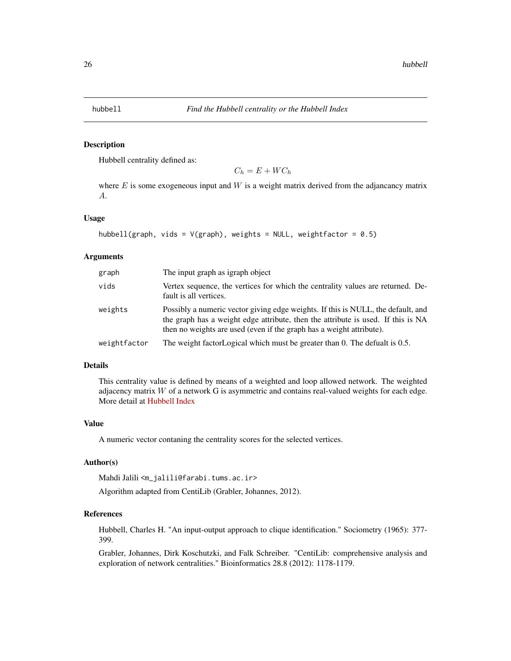<span id="page-25-0"></span>

#### Description

Hubbell centrality defined as:

 $C_h = E + W C_h$ 

where  $E$  is some exogeneous input and  $W$  is a weight matrix derived from the adjancancy matrix A.

## Usage

```
hubbell(graph, vids = V(\text{graph}), weights = NULL, weightfactor = 0.5)
```
## Arguments

| graph        | The input graph as igraph object                                                                                                                                                                                                             |
|--------------|----------------------------------------------------------------------------------------------------------------------------------------------------------------------------------------------------------------------------------------------|
| vids         | Vertex sequence, the vertices for which the centrality values are returned. De-<br>fault is all vertices.                                                                                                                                    |
| weights      | Possibly a numeric vector giving edge weights. If this is NULL, the default, and<br>the graph has a weight edge attribute, then the attribute is used. If this is NA<br>then no weights are used (even if the graph has a weight attribute). |
| weightfactor | The weight factor Logical which must be greater than 0. The defualt is 0.5.                                                                                                                                                                  |

#### Details

This centrality value is defined by means of a weighted and loop allowed network. The weighted adjacency matrix  $W$  of a network G is asymmetric and contains real-valued weights for each edge. More detail at [Hubbell Index](http://www.centiserver.org/?q1=centrality&q2=Hubbell_Index)

## Value

A numeric vector contaning the centrality scores for the selected vertices.

#### Author(s)

Mahdi Jalili <m\_jalili@farabi.tums.ac.ir>

Algorithm adapted from CentiLib (Grabler, Johannes, 2012).

## References

Hubbell, Charles H. "An input-output approach to clique identification." Sociometry (1965): 377- 399.

Grabler, Johannes, Dirk Koschutzki, and Falk Schreiber. "CentiLib: comprehensive analysis and exploration of network centralities." Bioinformatics 28.8 (2012): 1178-1179.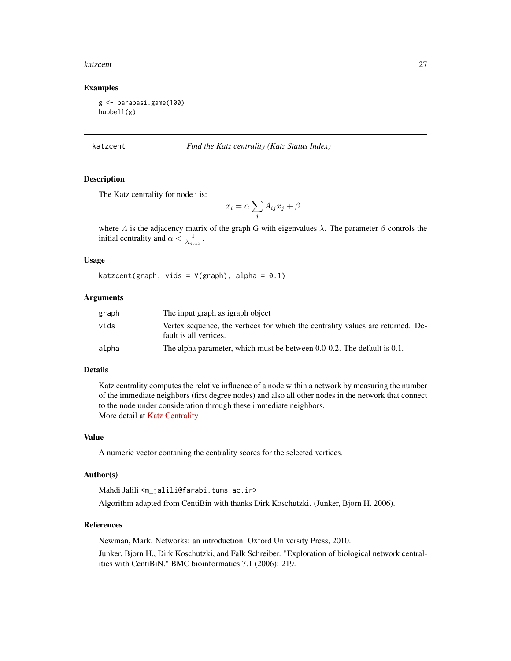#### <span id="page-26-0"></span>katzcent 27

#### Examples

```
g <- barabasi.game(100)
hubbell(g)
```
katzcent *Find the Katz centrality (Katz Status Index)*

## **Description**

The Katz centrality for node i is:

$$
x_i = \alpha \sum_j A_{ij} x_j + \beta
$$

where A is the adjacency matrix of the graph G with eigenvalues  $\lambda$ . The parameter  $\beta$  controls the initial centrality and  $\alpha < \frac{1}{\lambda_{max}}$ .

## Usage

katzcent(graph, vids =  $V(\text{graph})$ , alpha = 0.1)

## Arguments

| graph | The input graph as igraph object                                                                          |
|-------|-----------------------------------------------------------------------------------------------------------|
| vids  | Vertex sequence, the vertices for which the centrality values are returned. De-<br>fault is all vertices. |
| alpha | The alpha parameter, which must be between 0.0-0.2. The default is 0.1.                                   |

#### Details

Katz centrality computes the relative influence of a node within a network by measuring the number of the immediate neighbors (first degree nodes) and also all other nodes in the network that connect to the node under consideration through these immediate neighbors. More detail at [Katz Centrality](http://www.centiserver.org/?q1=centrality&q2=Katz_Centrality)

## Value

A numeric vector contaning the centrality scores for the selected vertices.

#### Author(s)

```
Mahdi Jalili <m_jalili@farabi.tums.ac.ir>
```
Algorithm adapted from CentiBin with thanks Dirk Koschutzki. (Junker, Bjorn H. 2006).

#### References

Newman, Mark. Networks: an introduction. Oxford University Press, 2010.

Junker, Bjorn H., Dirk Koschutzki, and Falk Schreiber. "Exploration of biological network centralities with CentiBiN." BMC bioinformatics 7.1 (2006): 219.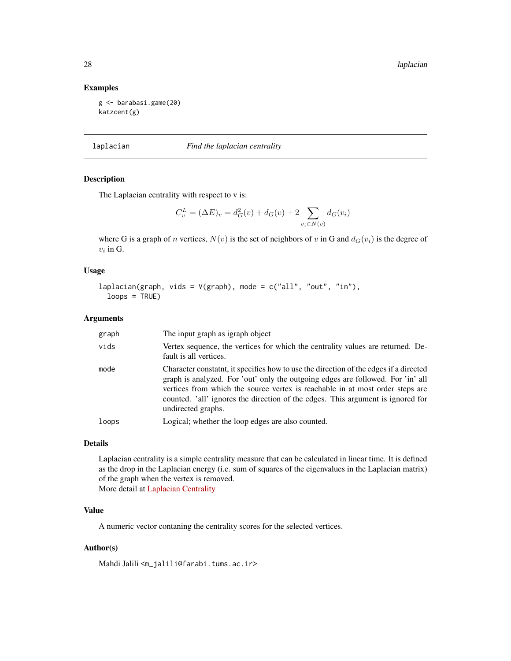28 laplacian and the contract of the contract of the contract of the contract of the contract of the contract of the contract of the contract of the contract of the contract of the contract of the contract of the contract

#### Examples

```
g <- barabasi.game(20)
katzcent(g)
```
## laplacian *Find the laplacian centrality*

## Description

The Laplacian centrality with respect to v is:

$$
C_v^L = (\Delta E)_v = d_G^2(v) + d_G(v) + 2 \sum_{v_i \in N(v)} d_G(v_i)
$$

where G is a graph of n vertices,  $N(v)$  is the set of neighbors of v in G and  $d_G(v_i)$  is the degree of  $v_i$  in G.

## Usage

```
laplacian(graph, vids = V(graph), mode = c("all", "out", "in"),
  loops = TRUE)
```
#### Arguments

| graph | The input graph as igraph object                                                                                                                                                                                                                                                                                                                                   |
|-------|--------------------------------------------------------------------------------------------------------------------------------------------------------------------------------------------------------------------------------------------------------------------------------------------------------------------------------------------------------------------|
| vids  | Vertex sequence, the vertices for which the centrality values are returned. De-<br>fault is all vertices.                                                                                                                                                                                                                                                          |
| mode  | Character constaint, it specifies how to use the direction of the edges if a directed<br>graph is analyzed. For 'out' only the outgoing edges are followed. For 'in' all<br>vertices from which the source vertex is reachable in at most order steps are<br>counted. 'all' ignores the direction of the edges. This argument is ignored for<br>undirected graphs. |
| loops | Logical; whether the loop edges are also counted.                                                                                                                                                                                                                                                                                                                  |

## Details

Laplacian centrality is a simple centrality measure that can be calculated in linear time. It is defined as the drop in the Laplacian energy (i.e. sum of squares of the eigenvalues in the Laplacian matrix) of the graph when the vertex is removed. More detail at [Laplacian Centrality](http://www.centiserver.org/?q1=centrality&q2=Laplacian_Centrality)

## Value

A numeric vector contaning the centrality scores for the selected vertices.

#### Author(s)

Mahdi Jalili <m\_jalili@farabi.tums.ac.ir>

<span id="page-27-0"></span>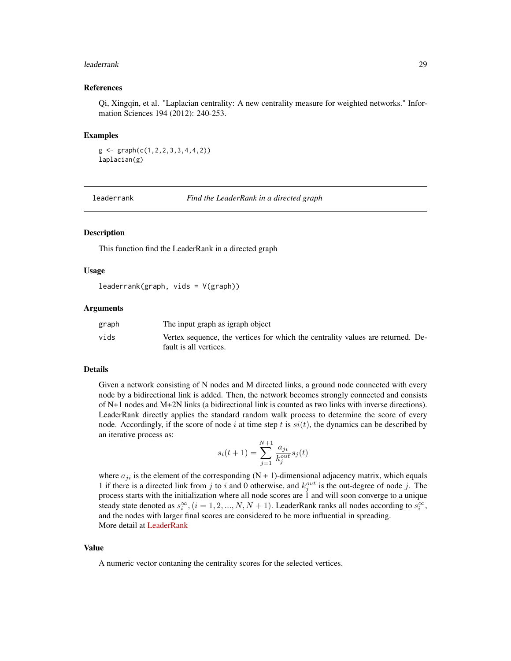#### <span id="page-28-0"></span>leaderrank 29

#### References

Qi, Xingqin, et al. "Laplacian centrality: A new centrality measure for weighted networks." Information Sciences 194 (2012): 240-253.

#### Examples

```
g \leftarrow \text{graph}(c(1, 2, 2, 3, 3, 4, 4, 2))laplacian(g)
```
leaderrank *Find the LeaderRank in a directed graph*

## Description

This function find the LeaderRank in a directed graph

#### Usage

leaderrank(graph, vids = V(graph))

#### Arguments

| graph | The input graph as igraph object                                                |
|-------|---------------------------------------------------------------------------------|
| vids  | Vertex sequence, the vertices for which the centrality values are returned. De- |
|       | fault is all vertices.                                                          |

#### Details

Given a network consisting of N nodes and M directed links, a ground node connected with every node by a bidirectional link is added. Then, the network becomes strongly connected and consists of N+1 nodes and M+2N links (a bidirectional link is counted as two links with inverse directions). LeaderRank directly applies the standard random walk process to determine the score of every node. Accordingly, if the score of node i at time step t is  $si(t)$ , the dynamics can be described by an iterative process as:

$$
s_i(t+1) = \sum_{j=1}^{N+1} \frac{a_{ji}}{k_j^{out}} s_j(t)
$$

where  $a_{ji}$  is the element of the corresponding (N + 1)-dimensional adjacency matrix, which equals 1 if there is a directed link from j to i and 0 otherwise, and  $k_j^{out}$  is the out-degree of node j. The process starts with the initialization where all node scores are 1 and will soon converge to a unique steady state denoted as  $s_i^{\infty}$ ,  $(i = 1, 2, ..., N, N + 1)$ . LeaderRank ranks all nodes according to  $s_i^{\infty}$ , and the nodes with larger final scores are considered to be more influential in spreading. More detail at [LeaderRank](http://www.centiserver.org/?q1=centrality&q2=LeaderRank)

## Value

A numeric vector contaning the centrality scores for the selected vertices.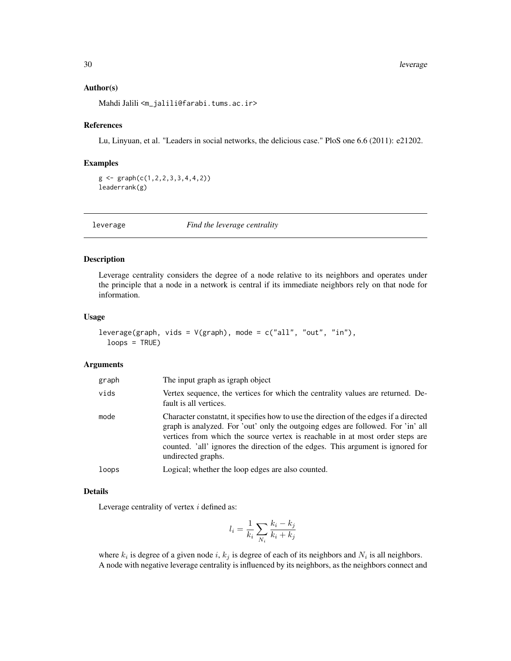#### <span id="page-29-0"></span>Author(s)

Mahdi Jalili <m\_jalili@farabi.tums.ac.ir>

#### References

Lu, Linyuan, et al. "Leaders in social networks, the delicious case." PloS one 6.6 (2011): e21202.

#### Examples

```
g \leftarrow \text{graph}(c(1, 2, 2, 3, 3, 4, 4, 2))leaderrank(g)
```
leverage *Find the leverage centrality*

#### Description

Leverage centrality considers the degree of a node relative to its neighbors and operates under the principle that a node in a network is central if its immediate neighbors rely on that node for information.

#### Usage

```
leverage(graph, vids = V(graph), mode = c("all", "out", "in"),
  loops = TRUE)
```
#### Arguments

| graph | The input graph as igraph object                                                                                                                                                                                                                                                                                                                                   |
|-------|--------------------------------------------------------------------------------------------------------------------------------------------------------------------------------------------------------------------------------------------------------------------------------------------------------------------------------------------------------------------|
| vids  | Vertex sequence, the vertices for which the centrality values are returned. De-<br>fault is all vertices.                                                                                                                                                                                                                                                          |
| mode  | Character constaint, it specifies how to use the direction of the edges if a directed<br>graph is analyzed. For 'out' only the outgoing edges are followed. For 'in' all<br>vertices from which the source vertex is reachable in at most order steps are<br>counted. 'all' ignores the direction of the edges. This argument is ignored for<br>undirected graphs. |
| loops | Logical; whether the loop edges are also counted.                                                                                                                                                                                                                                                                                                                  |

#### Details

Leverage centrality of vertex  $i$  defined as:

$$
l_i = \frac{1}{k_i} \sum_{N_i} \frac{k_i - k_j}{k_i + k_j}
$$

where  $k_i$  is degree of a given node i,  $k_j$  is degree of each of its neighbors and  $N_i$  is all neighbors. A node with negative leverage centrality is influenced by its neighbors, as the neighbors connect and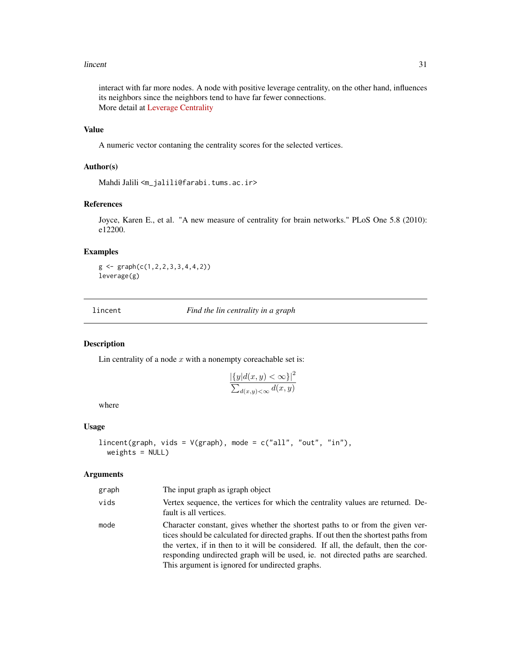#### <span id="page-30-0"></span>lincent 31

interact with far more nodes. A node with positive leverage centrality, on the other hand, influences its neighbors since the neighbors tend to have far fewer connections. More detail at [Leverage Centrality](http://www.centiserver.org/?q1=centrality&q2=Leverage_Centrality)

## Value

A numeric vector contaning the centrality scores for the selected vertices.

#### Author(s)

Mahdi Jalili <m\_jalili@farabi.tums.ac.ir>

#### References

Joyce, Karen E., et al. "A new measure of centrality for brain networks." PLoS One 5.8 (2010): e12200.

## Examples

 $g \leftarrow \text{graph}(c(1, 2, 2, 3, 3, 4, 4, 2))$ leverage(g)

lincent *Find the lin centrality in a graph*

## Description

Lin centrality of a node  $x$  with a nonempty coreachable set is:

$$
\frac{|\{y|d(x,y) < \infty\}|^2}{\sum_{d(x,y)< \infty} d(x,y)}
$$

where

## Usage

```
lincent(graph, vids = V(\text{graph}), mode = c("all", "out", "in"),weights = NULL)
```
#### Arguments

| graph | The input graph as igraph object                                                                                                                                                                                                                                                                                                                                                                  |
|-------|---------------------------------------------------------------------------------------------------------------------------------------------------------------------------------------------------------------------------------------------------------------------------------------------------------------------------------------------------------------------------------------------------|
| vids  | Vertex sequence, the vertices for which the centrality values are returned. De-<br>fault is all vertices.                                                                                                                                                                                                                                                                                         |
| mode  | Character constant, gives whether the shortest paths to or from the given ver-<br>tices should be calculated for directed graphs. If out then the shortest paths from<br>the vertex, if in then to it will be considered. If all, the default, then the cor-<br>responding undirected graph will be used, ie. not directed paths are searched.<br>This argument is ignored for undirected graphs. |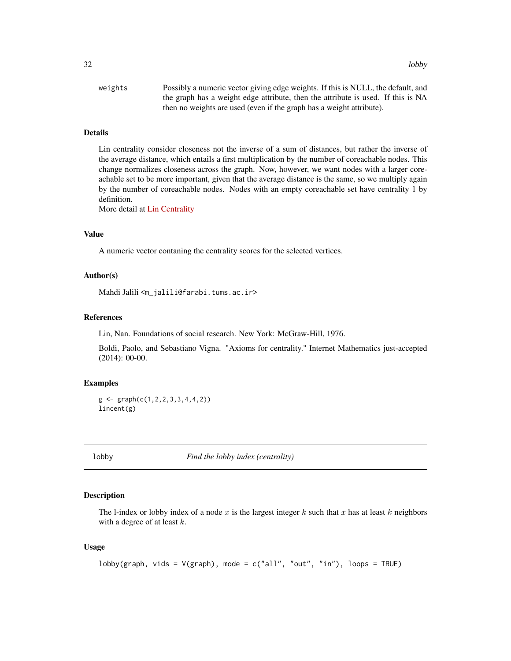<span id="page-31-0"></span>

| weights | Possibly a numeric vector giving edge weights. If this is NULL, the default, and |
|---------|----------------------------------------------------------------------------------|
|         | the graph has a weight edge attribute, then the attribute is used. If this is NA |
|         | then no weights are used (even if the graph has a weight attribute).             |

## Details

Lin centrality consider closeness not the inverse of a sum of distances, but rather the inverse of the average distance, which entails a first multiplication by the number of coreachable nodes. This change normalizes closeness across the graph. Now, however, we want nodes with a larger coreachable set to be more important, given that the average distance is the same, so we multiply again by the number of coreachable nodes. Nodes with an empty coreachable set have centrality 1 by definition.

More detail at [Lin Centrality](http://www.centiserver.org/?q1=centrality&q2=Lin_Centrality)

## Value

A numeric vector contaning the centrality scores for the selected vertices.

## Author(s)

Mahdi Jalili <m\_jalili@farabi.tums.ac.ir>

#### References

Lin, Nan. Foundations of social research. New York: McGraw-Hill, 1976.

Boldi, Paolo, and Sebastiano Vigna. "Axioms for centrality." Internet Mathematics just-accepted (2014): 00-00.

#### Examples

```
g \leftarrow \text{graph}(c(1, 2, 2, 3, 3, 4, 4, 2))lincent(g)
```
lobby *Find the lobby index (centrality)*

#### Description

The l-index or lobby index of a node x is the largest integer k such that x has at least k neighbors with a degree of at least  $k$ .

#### Usage

```
lobby(graph, vids = V(\text{graph}), mode = c("all", "out", "in"), loops = TRUE)
```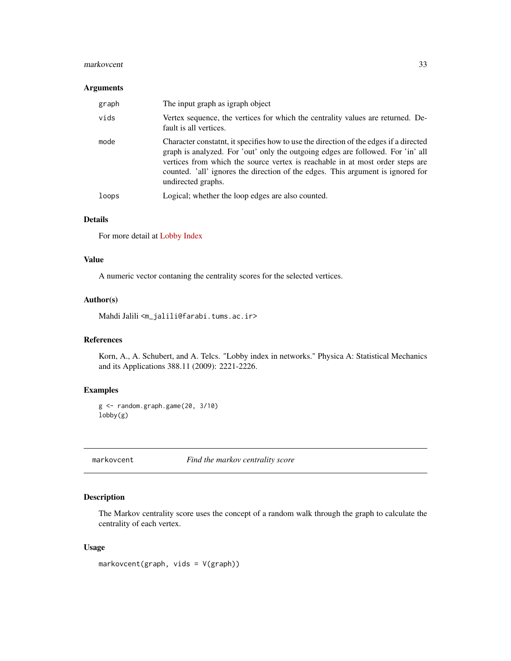#### <span id="page-32-0"></span>markovcent 33

#### Arguments

| graph | The input graph as igraph object                                                                                                                                                                                                                                                                                                                                  |
|-------|-------------------------------------------------------------------------------------------------------------------------------------------------------------------------------------------------------------------------------------------------------------------------------------------------------------------------------------------------------------------|
| vids  | Vertex sequence, the vertices for which the centrality values are returned. De-<br>fault is all vertices.                                                                                                                                                                                                                                                         |
| mode  | Character constant, it specifies how to use the direction of the edges if a directed<br>graph is analyzed. For 'out' only the outgoing edges are followed. For 'in' all<br>vertices from which the source vertex is reachable in at most order steps are<br>counted. 'all' ignores the direction of the edges. This argument is ignored for<br>undirected graphs. |
| loops | Logical; whether the loop edges are also counted.                                                                                                                                                                                                                                                                                                                 |

## Details

For more detail at [Lobby Index](http://www.centiserver.org/?q1=centrality&q2=Lobby_Index)

## Value

A numeric vector contaning the centrality scores for the selected vertices.

## Author(s)

Mahdi Jalili <m\_jalili@farabi.tums.ac.ir>

## References

Korn, A., A. Schubert, and A. Telcs. "Lobby index in networks." Physica A: Statistical Mechanics and its Applications 388.11 (2009): 2221-2226.

## Examples

```
g \leftarrow \text{random.graph.game}(20, 3/10)lobby(g)
```
markovcent *Find the markov centrality score*

## Description

The Markov centrality score uses the concept of a random walk through the graph to calculate the centrality of each vertex.

## Usage

markovcent(graph, vids = V(graph))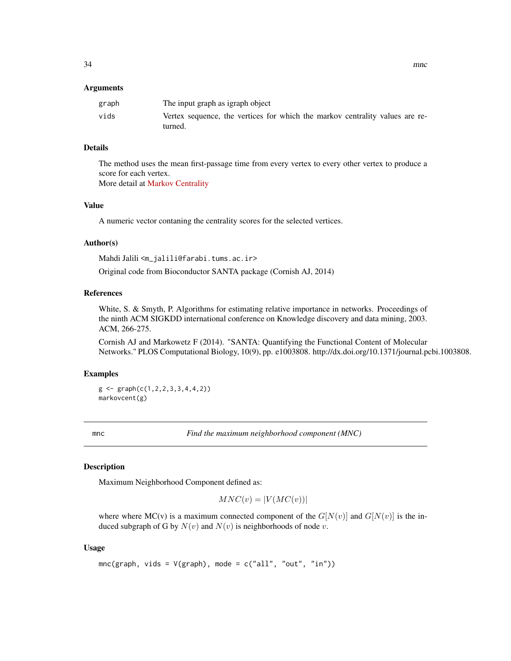#### <span id="page-33-0"></span>Arguments

| graph | The input graph as igraph object                                             |
|-------|------------------------------------------------------------------------------|
| vids  | Vertex sequence, the vertices for which the markov centrality values are re- |
|       | turned.                                                                      |

## Details

The method uses the mean first-passage time from every vertex to every other vertex to produce a score for each vertex.

More detail at [Markov Centrality](http://www.centiserver.org/?q1=centrality&q2=Markov_Centrality)

## Value

A numeric vector contaning the centrality scores for the selected vertices.

## Author(s)

Mahdi Jalili <m\_jalili@farabi.tums.ac.ir>

Original code from Bioconductor SANTA package (Cornish AJ, 2014)

## References

White, S. & Smyth, P. Algorithms for estimating relative importance in networks. Proceedings of the ninth ACM SIGKDD international conference on Knowledge discovery and data mining, 2003. ACM, 266-275.

Cornish AJ and Markowetz F (2014). "SANTA: Quantifying the Functional Content of Molecular Networks." PLOS Computational Biology, 10(9), pp. e1003808. http://dx.doi.org/10.1371/journal.pcbi.1003808.

#### Examples

 $g \leftarrow \text{graph}(c(1, 2, 2, 3, 3, 4, 4, 2))$ markovcent(g)

mnc *Find the maximum neighborhood component (MNC)*

## Description

Maximum Neighborhood Component defined as:

 $MNC(v) = |V(MC(v))|$ 

where where MC(v) is a maximum connected component of the  $G[N(v)]$  and  $G[N(v)]$  is the induced subgraph of G by  $N(v)$  and  $N(v)$  is neighborhoods of node v.

#### Usage

```
mnc(graph, vids = V(graph), mode = c("all", "out", "in"))
```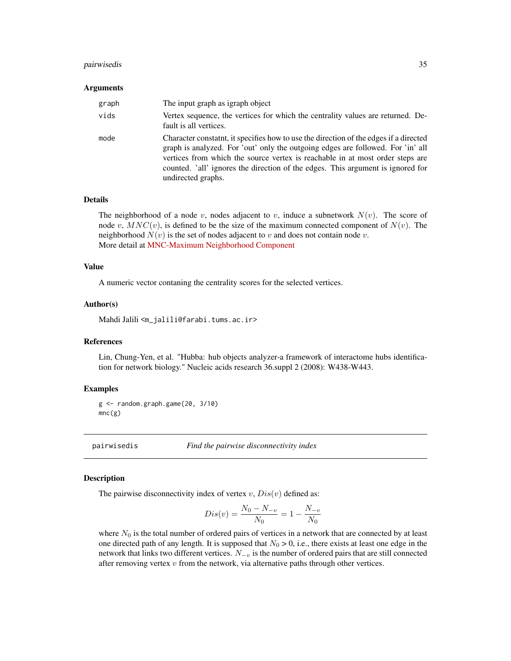#### <span id="page-34-0"></span>pairwisedis 35

#### Arguments

| graph | The input graph as igraph object                                                                                                                                                                                                                                                                                                                                  |
|-------|-------------------------------------------------------------------------------------------------------------------------------------------------------------------------------------------------------------------------------------------------------------------------------------------------------------------------------------------------------------------|
| vids  | Vertex sequence, the vertices for which the centrality values are returned. De-<br>fault is all vertices.                                                                                                                                                                                                                                                         |
| mode  | Character constant, it specifies how to use the direction of the edges if a directed<br>graph is analyzed. For 'out' only the outgoing edges are followed. For 'in' all<br>vertices from which the source vertex is reachable in at most order steps are<br>counted. 'all' ignores the direction of the edges. This argument is ignored for<br>undirected graphs. |

## Details

The neighborhood of a node v, nodes adjacent to v, induce a subnetwork  $N(v)$ . The score of node v,  $MNC(v)$ , is defined to be the size of the maximum connected component of  $N(v)$ . The neighborhood  $N(v)$  is the set of nodes adjacent to v and does not contain node v. More detail at [MNC-Maximum Neighborhood Component](http://www.centiserver.org/?q1=centrality&q2=MNC_Maximum_Neighborhood_Component)

## Value

A numeric vector contaning the centrality scores for the selected vertices.

#### Author(s)

Mahdi Jalili <m\_jalili@farabi.tums.ac.ir>

#### References

Lin, Chung-Yen, et al. "Hubba: hub objects analyzer-a framework of interactome hubs identification for network biology." Nucleic acids research 36.suppl 2 (2008): W438-W443.

#### Examples

g <- random.graph.game(20, 3/10) mnc(g)

pairwisedis *Find the pairwise disconnectivity index*

#### **Description**

The pairwise disconnectivity index of vertex  $v$ ,  $Dis(v)$  defined as:

$$
Dis(v) = \frac{N_0 - N_{-v}}{N_0} = 1 - \frac{N_{-v}}{N_0}
$$

where  $N_0$  is the total number of ordered pairs of vertices in a network that are connected by at least one directed path of any length. It is supposed that  $N_0 > 0$ , i.e., there exists at least one edge in the network that links two different vertices.  $N_{-v}$  is the number of ordered pairs that are still connected after removing vertex  $v$  from the network, via alternative paths through other vertices.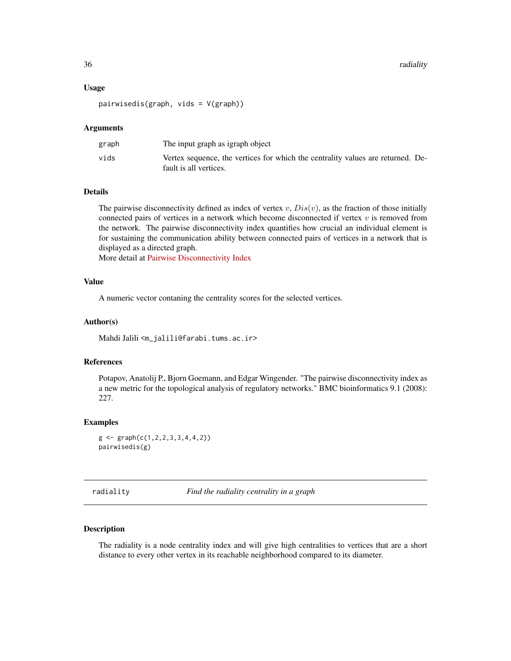#### <span id="page-35-0"></span>Usage

pairwisedis(graph, vids = V(graph))

## Arguments

| graph | The input graph as igraph object                                                                          |
|-------|-----------------------------------------------------------------------------------------------------------|
| vids  | Vertex sequence, the vertices for which the centrality values are returned. De-<br>fault is all vertices. |

## Details

The pairwise disconnectivity defined as index of vertex  $v$ ,  $Dis(v)$ , as the fraction of those initially connected pairs of vertices in a network which become disconnected if vertex  $v$  is removed from the network. The pairwise disconnectivity index quantifies how crucial an individual element is for sustaining the communication ability between connected pairs of vertices in a network that is displayed as a directed graph.

More detail at [Pairwise Disconnectivity Index](http://www.centiserver.org/?q1=centrality&q2=Pairwise_Disconnectivity_Index)

#### Value

A numeric vector contaning the centrality scores for the selected vertices.

#### Author(s)

Mahdi Jalili <m\_jalili@farabi.tums.ac.ir>

## References

Potapov, Anatolij P., Bjorn Goemann, and Edgar Wingender. "The pairwise disconnectivity index as a new metric for the topological analysis of regulatory networks." BMC bioinformatics 9.1 (2008): 227.

#### Examples

```
g \leftarrow \text{graph}(c(1, 2, 2, 3, 3, 4, 4, 2))pairwisedis(g)
```
radiality *Find the radiality centrality in a graph*

#### Description

The radiality is a node centrality index and will give high centralities to vertices that are a short distance to every other vertex in its reachable neighborhood compared to its diameter.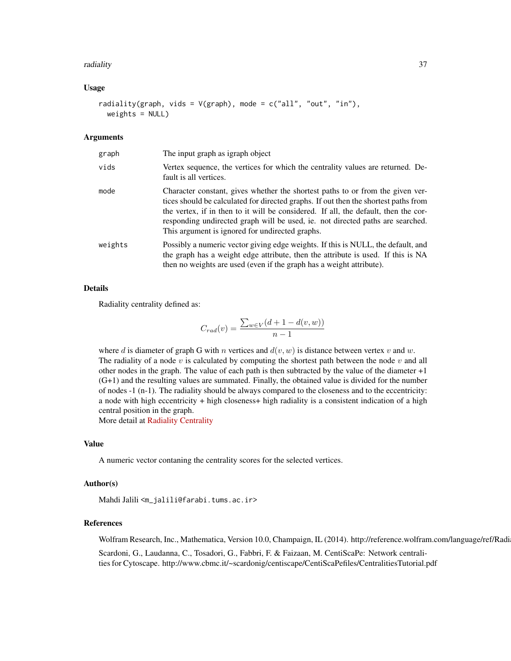#### radiality 37

#### Usage

```
radiality(graph, vids = V(graph), mode = c("all", "out", "in"),weights = NULL)
```
#### Arguments

| graph   | The input graph as igraph object                                                                                                                                                                                                                                                                                                                                                                  |
|---------|---------------------------------------------------------------------------------------------------------------------------------------------------------------------------------------------------------------------------------------------------------------------------------------------------------------------------------------------------------------------------------------------------|
| vids    | Vertex sequence, the vertices for which the centrality values are returned. De-<br>fault is all vertices.                                                                                                                                                                                                                                                                                         |
| mode    | Character constant, gives whether the shortest paths to or from the given ver-<br>tices should be calculated for directed graphs. If out then the shortest paths from<br>the vertex, if in then to it will be considered. If all, the default, then the cor-<br>responding undirected graph will be used, ie. not directed paths are searched.<br>This argument is ignored for undirected graphs. |
| weights | Possibly a numeric vector giving edge weights. If this is NULL, the default, and<br>the graph has a weight edge attribute, then the attribute is used. If this is NA<br>then no weights are used (even if the graph has a weight attribute).                                                                                                                                                      |

## Details

Radiality centrality defined as:

$$
C_{rad}(v) = \frac{\sum_{w \in V} (d+1 - d(v, w))}{n-1}
$$

where d is diameter of graph G with n vertices and  $d(v, w)$  is distance between vertex v and w. The radiality of a node  $v$  is calculated by computing the shortest path between the node  $v$  and all other nodes in the graph. The value of each path is then subtracted by the value of the diameter  $+1$ (G+1) and the resulting values are summated. Finally, the obtained value is divided for the number of nodes -1 (n-1). The radiality should be always compared to the closeness and to the eccentricity: a node with high eccentricity + high closeness+ high radiality is a consistent indication of a high central position in the graph.

More detail at [Radiality Centrality](http://www.centiserver.org/?q1=centrality&q2=Radiality_Centrality)

#### Value

A numeric vector contaning the centrality scores for the selected vertices.

#### Author(s)

Mahdi Jalili <m\_jalili@farabi.tums.ac.ir>

## References

Wolfram Research, Inc., Mathematica, Version 10.0, Champaign, IL (2014). http://reference.wolfram.com/language/ref/Radi

Scardoni, G., Laudanna, C., Tosadori, G., Fabbri, F. & Faizaan, M. CentiScaPe: Network centralities for Cytoscape. http://www.cbmc.it/~scardonig/centiscape/CentiScaPefiles/CentralitiesTutorial.pdf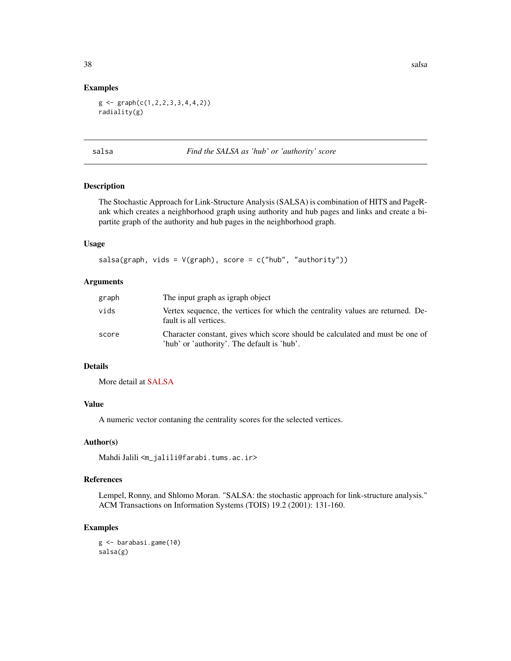#### Examples

 $g \leftarrow \text{graph}(c(1, 2, 2, 3, 3, 4, 4, 2))$ radiality(g)

salsa *Find the SALSA as 'hub' or 'authority' score*

#### Description

The Stochastic Approach for Link-Structure Analysis (SALSA) is combination of HITS and PageRank which creates a neighborhood graph using authority and hub pages and links and create a bipartite graph of the authority and hub pages in the neighborhood graph.

#### Usage

```
salsa(graph, vids = V(\text{graph}), score = c("hub", "authority"))
```
#### Arguments

| graph | The input graph as igraph object                                                                                             |
|-------|------------------------------------------------------------------------------------------------------------------------------|
| vids  | Vertex sequence, the vertices for which the centrality values are returned. De-<br>fault is all vertices.                    |
| score | Character constant, gives which score should be calculated and must be one of<br>'hub' or 'authority'. The default is 'hub'. |

## Details

More detail at [SALSA](http://www.centiserver.org/?q1=centrality&q2=SALSA)

## Value

A numeric vector contaning the centrality scores for the selected vertices.

#### Author(s)

Mahdi Jalili <m\_jalili@farabi.tums.ac.ir>

#### References

Lempel, Ronny, and Shlomo Moran. "SALSA: the stochastic approach for link-structure analysis." ACM Transactions on Information Systems (TOIS) 19.2 (2001): 131-160.

## Examples

g <- barabasi.game(10) salsa(g)

<span id="page-37-0"></span>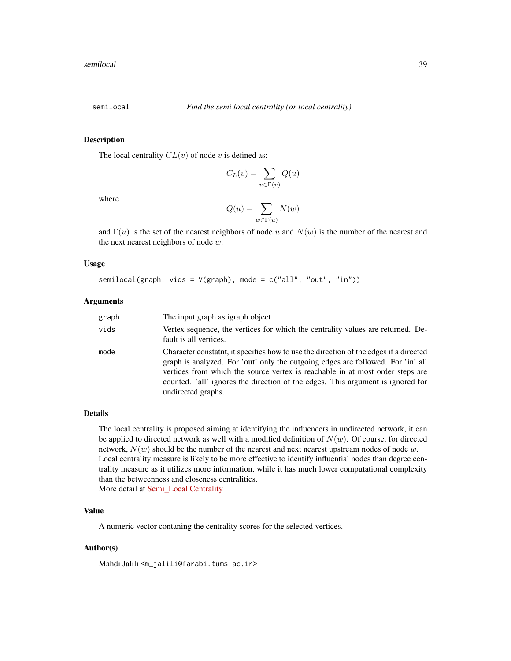<span id="page-38-0"></span>

#### Description

The local centrality  $CL(v)$  of node v is defined as:

$$
C_L(v) = \sum_{u \in \Gamma(v)} Q(u)
$$

where

$$
Q(u) = \sum_{w \in \Gamma(u)} N(w)
$$

and  $\Gamma(u)$  is the set of the nearest neighbors of node u and  $N(w)$  is the number of the nearest and the next nearest neighbors of node  $w$ .

#### Usage

semilocal(graph, vids = V(graph), mode = c("all", "out", "in"))

#### Arguments

| graph | The input graph as igraph object                                                                                                                                                                                                                                                                                                                                   |
|-------|--------------------------------------------------------------------------------------------------------------------------------------------------------------------------------------------------------------------------------------------------------------------------------------------------------------------------------------------------------------------|
| vids  | Vertex sequence, the vertices for which the centrality values are returned. De-<br>fault is all vertices.                                                                                                                                                                                                                                                          |
| mode  | Character constaint, it specifies how to use the direction of the edges if a directed<br>graph is analyzed. For 'out' only the outgoing edges are followed. For 'in' all<br>vertices from which the source vertex is reachable in at most order steps are<br>counted. 'all' ignores the direction of the edges. This argument is ignored for<br>undirected graphs. |

## Details

The local centrality is proposed aiming at identifying the influencers in undirected network, it can be applied to directed network as well with a modified definition of  $N(w)$ . Of course, for directed network,  $N(w)$  should be the number of the nearest and next nearest upstream nodes of node w. Local centrality measure is likely to be more effective to identify influential nodes than degree centrality measure as it utilizes more information, while it has much lower computational complexity than the betweenness and closeness centralities. More detail at [Semi\\_Local Centrality](http://www.centiserver.org/?q1=centrality&q2=Semi_Local_Centrality)

#### Value

A numeric vector contaning the centrality scores for the selected vertices.

#### Author(s)

Mahdi Jalili <m\_jalili@farabi.tums.ac.ir>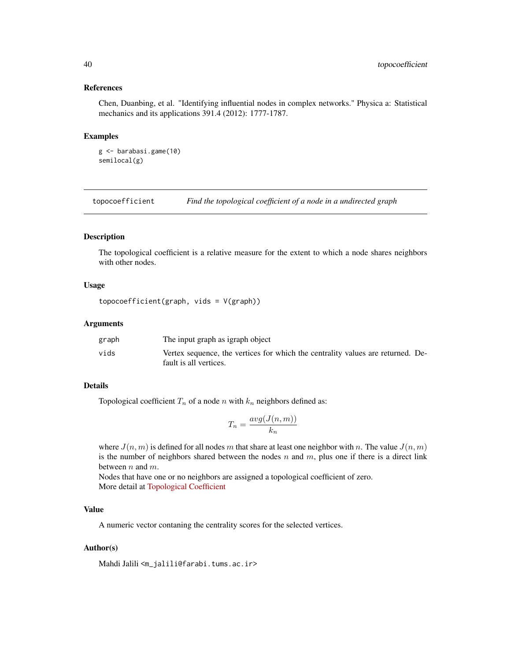#### References

Chen, Duanbing, et al. "Identifying influential nodes in complex networks." Physica a: Statistical mechanics and its applications 391.4 (2012): 1777-1787.

#### Examples

```
g <- barabasi.game(10)
semilocal(g)
```
topocoefficient *Find the topological coefficient of a node in a undirected graph*

## Description

The topological coefficient is a relative measure for the extent to which a node shares neighbors with other nodes.

#### Usage

```
topocoefficient(graph, vids = V(graph))
```
#### Arguments

| graph | The input graph as igraph object                                                                          |
|-------|-----------------------------------------------------------------------------------------------------------|
| vids  | Vertex sequence, the vertices for which the centrality values are returned. De-<br>fault is all vertices. |

## Details

Topological coefficient  $T_n$  of a node n with  $k_n$  neighbors defined as:

$$
T_n = \frac{avg(J(n, m))}{k_n}
$$

where  $J(n, m)$  is defined for all nodes m that share at least one neighbor with n. The value  $J(n, m)$ is the number of neighbors shared between the nodes  $n$  and  $m$ , plus one if there is a direct link between  $n$  and  $m$ .

Nodes that have one or no neighbors are assigned a topological coefficient of zero. More detail at [Topological Coefficient](http://www.centiserver.org/?q1=centrality&q2=Topological_Coefficient)

## Value

A numeric vector contaning the centrality scores for the selected vertices.

## Author(s)

Mahdi Jalili <m\_jalili@farabi.tums.ac.ir>

<span id="page-39-0"></span>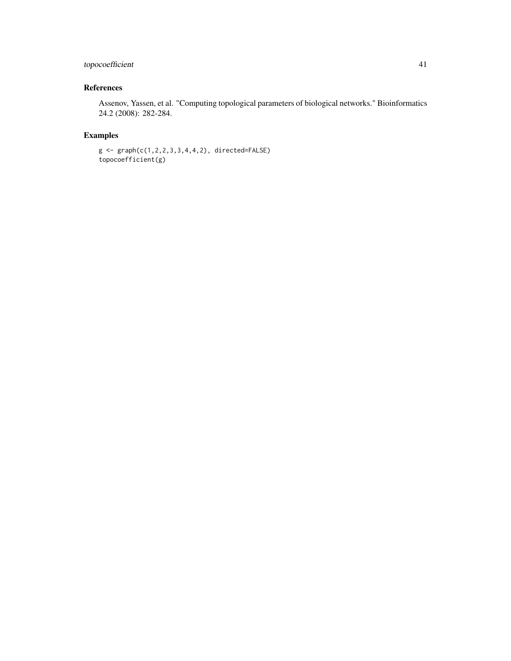## topocoefficient 41

## References

Assenov, Yassen, et al. "Computing topological parameters of biological networks." Bioinformatics 24.2 (2008): 282-284.

## Examples

```
g <- graph(c(1,2,2,3,3,4,4,2), directed=FALSE)
topocoefficient(g)
```